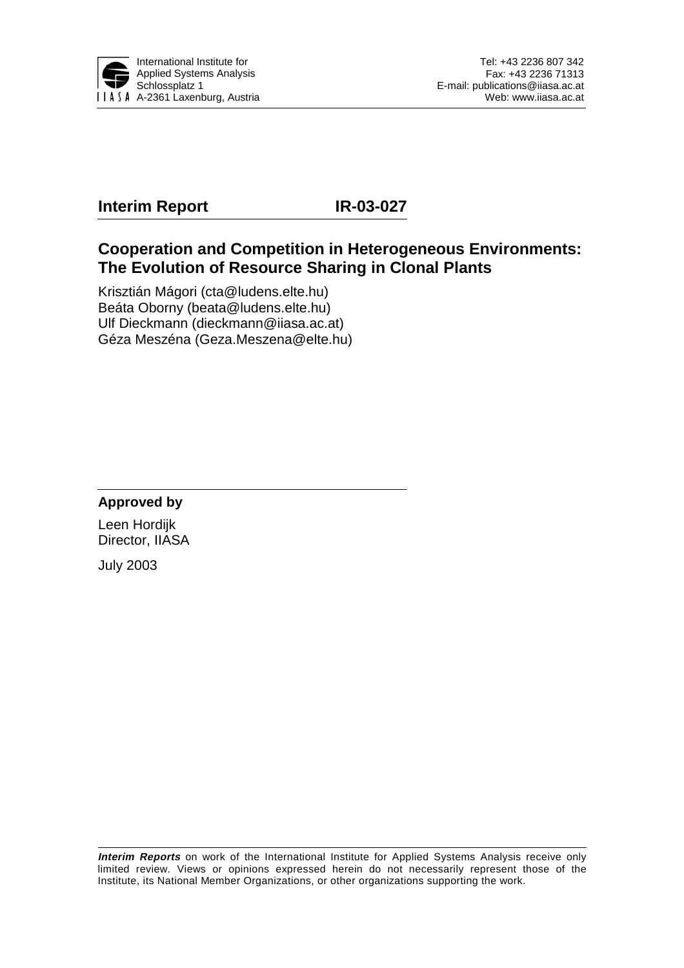

# **Interim Report IR-03-027**

## **Cooperation and Competition in Heterogeneous Environments: The Evolution of Resource Sharing in Clonal Plants**

Krisztián Mágori (cta@ludens.elte.hu) Beáta Oborny (beata@ludens.elte.hu) Ulf Dieckmann (dieckmann@iiasa.ac.at) Géza Meszéna (Geza.Meszena@elte.hu)

## **Approved by**

Leen Hordijk Director, IIASA

July 2003

**Interim Reports** on work of the International Institute for Applied Systems Analysis receive only limited review. Views or opinions expressed herein do not necessarily represent those of the Institute, its National Member Organizations, or other organizations supporting the work.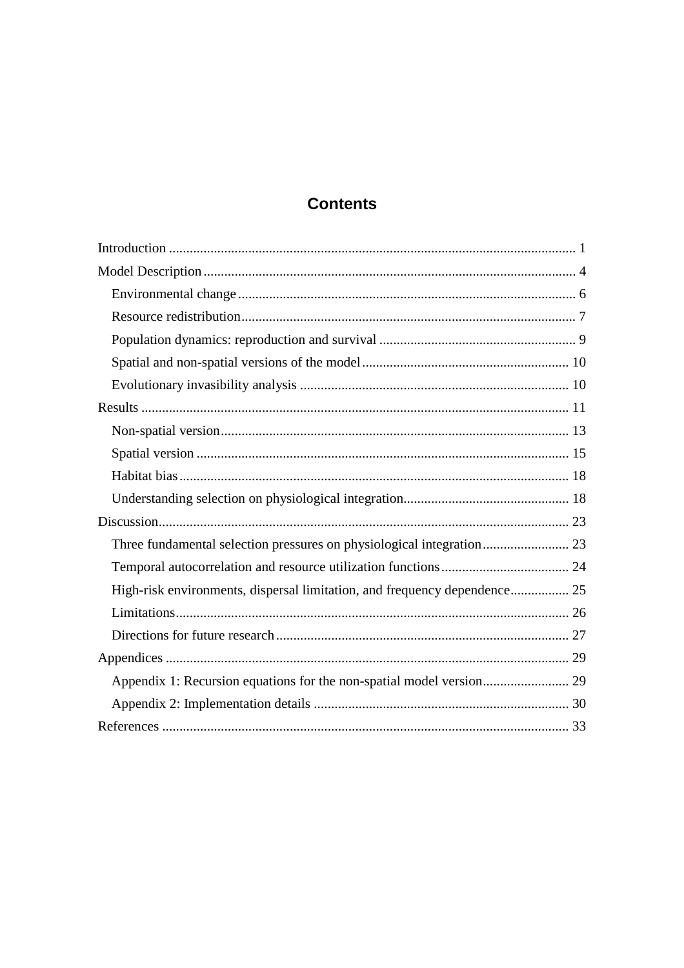# **Contents**

| Three fundamental selection pressures on physiological integration 23     |  |
|---------------------------------------------------------------------------|--|
|                                                                           |  |
| High-risk environments, dispersal limitation, and frequency dependence 25 |  |
|                                                                           |  |
|                                                                           |  |
|                                                                           |  |
|                                                                           |  |
|                                                                           |  |
|                                                                           |  |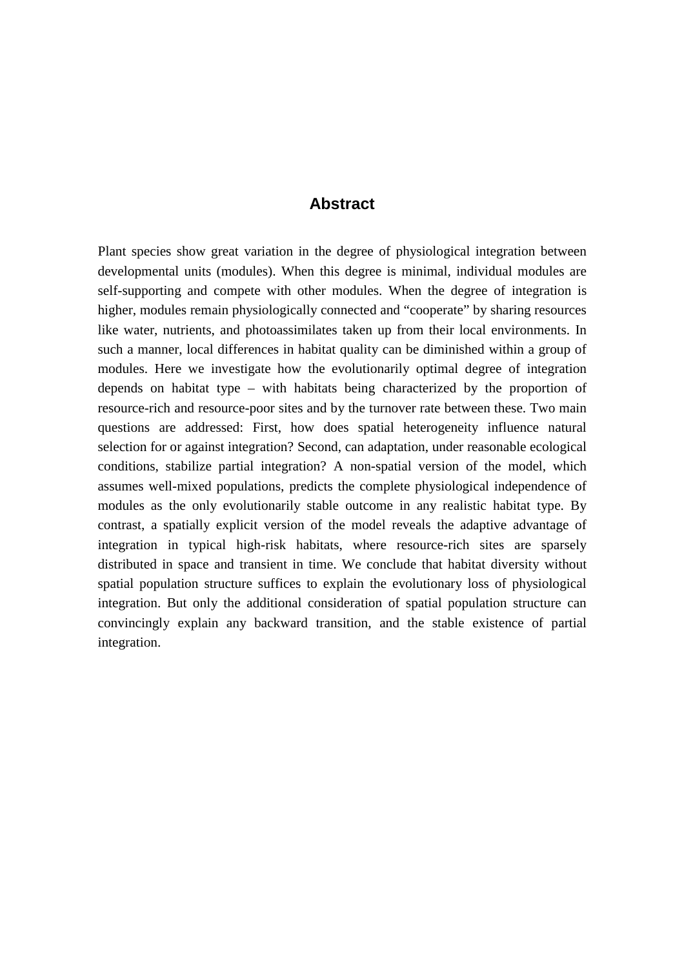### **Abstract**

Plant species show great variation in the degree of physiological integration between developmental units (modules). When this degree is minimal, individual modules are self-supporting and compete with other modules. When the degree of integration is higher, modules remain physiologically connected and "cooperate" by sharing resources like water, nutrients, and photoassimilates taken up from their local environments. In such a manner, local differences in habitat quality can be diminished within a group of modules. Here we investigate how the evolutionarily optimal degree of integration depends on habitat type – with habitats being characterized by the proportion of resource-rich and resource-poor sites and by the turnover rate between these. Two main questions are addressed: First, how does spatial heterogeneity influence natural selection for or against integration? Second, can adaptation, under reasonable ecological conditions, stabilize partial integration? A non-spatial version of the model, which assumes well-mixed populations, predicts the complete physiological independence of modules as the only evolutionarily stable outcome in any realistic habitat type. By contrast, a spatially explicit version of the model reveals the adaptive advantage of integration in typical high-risk habitats, where resource-rich sites are sparsely distributed in space and transient in time. We conclude that habitat diversity without spatial population structure suffices to explain the evolutionary loss of physiological integration. But only the additional consideration of spatial population structure can convincingly explain any backward transition, and the stable existence of partial integration.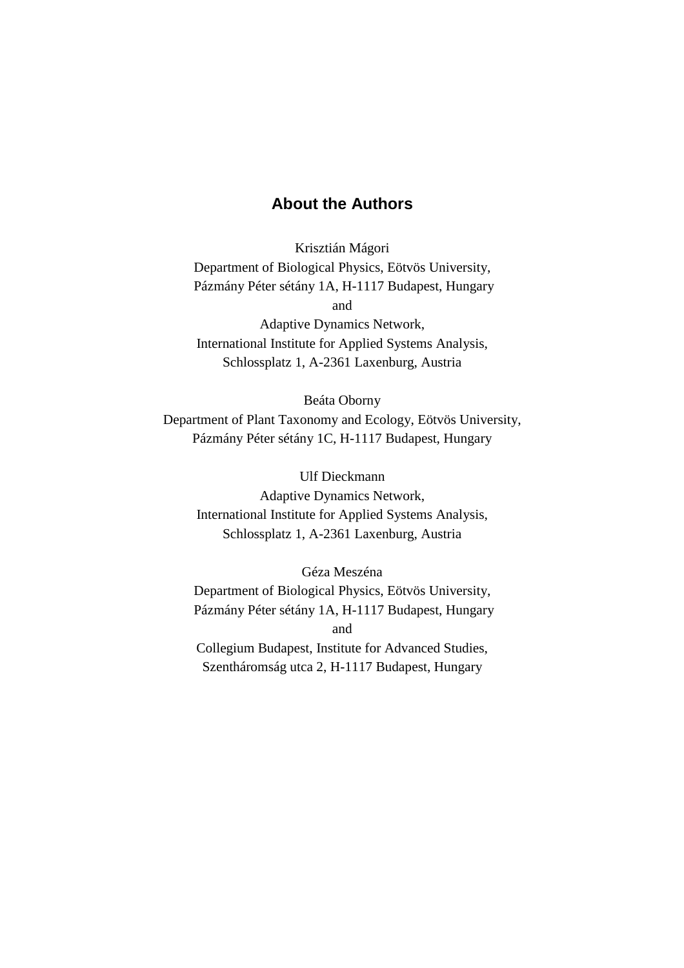## **About the Authors**

Krisztián Mágori Department of Biological Physics, Eötvös University, Pázmány Péter sétány 1A, H-1117 Budapest, Hungary and Adaptive Dynamics Network,

International Institute for Applied Systems Analysis, Schlossplatz 1, A-2361 Laxenburg, Austria

Beáta Oborny Department of Plant Taxonomy and Ecology, Eötvös University, Pázmány Péter sétány 1C, H-1117 Budapest, Hungary

Ulf Dieckmann Adaptive Dynamics Network, International Institute for Applied Systems Analysis, Schlossplatz 1, A-2361 Laxenburg, Austria

Géza Meszéna Department of Biological Physics, Eötvös University, Pázmány Péter sétány 1A, H-1117 Budapest, Hungary and Collegium Budapest, Institute for Advanced Studies, Szentháromság utca 2, H-1117 Budapest, Hungary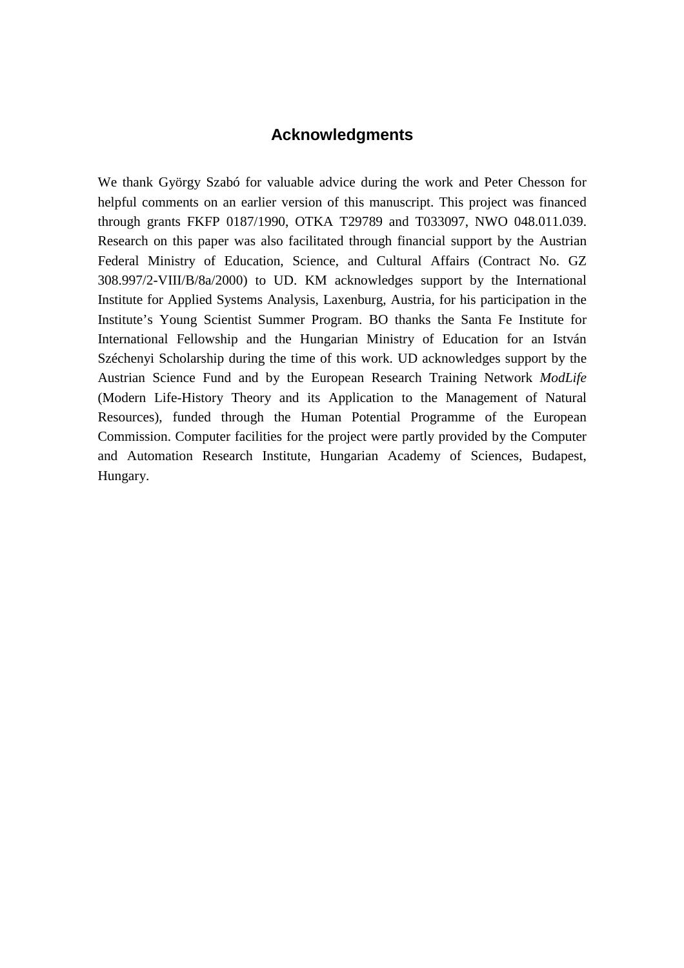# **Acknowledgments**

We thank György Szabó for valuable advice during the work and Peter Chesson for helpful comments on an earlier version of this manuscript. This project was financed through grants FKFP 0187/1990, OTKA T29789 and T033097, NWO 048.011.039. Research on this paper was also facilitated through financial support by the Austrian Federal Ministry of Education, Science, and Cultural Affairs (Contract No. GZ 308.997/2-VIII/B/8a/2000) to UD. KM acknowledges support by the International Institute for Applied Systems Analysis, Laxenburg, Austria, for his participation in the Institute's Young Scientist Summer Program. BO thanks the Santa Fe Institute for International Fellowship and the Hungarian Ministry of Education for an István Széchenyi Scholarship during the time of this work. UD acknowledges support by the Austrian Science Fund and by the European Research Training Network *ModLife* (Modern Life-History Theory and its Application to the Management of Natural Resources), funded through the Human Potential Programme of the European Commission. Computer facilities for the project were partly provided by the Computer and Automation Research Institute, Hungarian Academy of Sciences, Budapest, Hungary.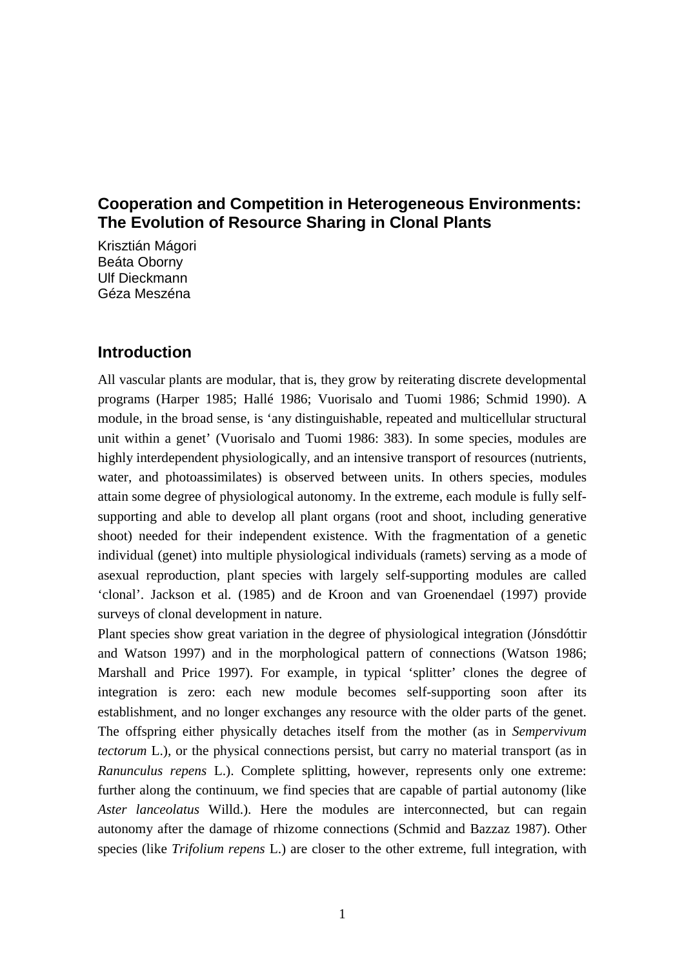## **Cooperation and Competition in Heterogeneous Environments: The Evolution of Resource Sharing in Clonal Plants**

Krisztián Mágori Beáta Oborny Ulf Dieckmann Géza Meszéna

## **Introduction**

All vascular plants are modular, that is, they grow by reiterating discrete developmental programs (Harper 1985; Hallé 1986; Vuorisalo and Tuomi 1986; Schmid 1990). A module, in the broad sense, is 'any distinguishable, repeated and multicellular structural unit within a genet' (Vuorisalo and Tuomi 1986: 383). In some species, modules are highly interdependent physiologically, and an intensive transport of resources (nutrients, water, and photoassimilates) is observed between units. In others species, modules attain some degree of physiological autonomy. In the extreme, each module is fully selfsupporting and able to develop all plant organs (root and shoot, including generative shoot) needed for their independent existence. With the fragmentation of a genetic individual (genet) into multiple physiological individuals (ramets) serving as a mode of asexual reproduction, plant species with largely self-supporting modules are called 'clonal'. Jackson et al. (1985) and de Kroon and van Groenendael (1997) provide surveys of clonal development in nature.

Plant species show great variation in the degree of physiological integration (Jónsdóttir and Watson 1997) and in the morphological pattern of connections (Watson 1986; Marshall and Price 1997). For example, in typical 'splitter' clones the degree of integration is zero: each new module becomes self-supporting soon after its establishment, and no longer exchanges any resource with the older parts of the genet. The offspring either physically detaches itself from the mother (as in *Sempervivum tectorum* L.), or the physical connections persist, but carry no material transport (as in *Ranunculus repens* L.). Complete splitting, however, represents only one extreme: further along the continuum, we find species that are capable of partial autonomy (like *Aster lanceolatus* Willd.). Here the modules are interconnected, but can regain autonomy after the damage of rhizome connections (Schmid and Bazzaz 1987). Other species (like *Trifolium repens* L.) are closer to the other extreme, full integration, with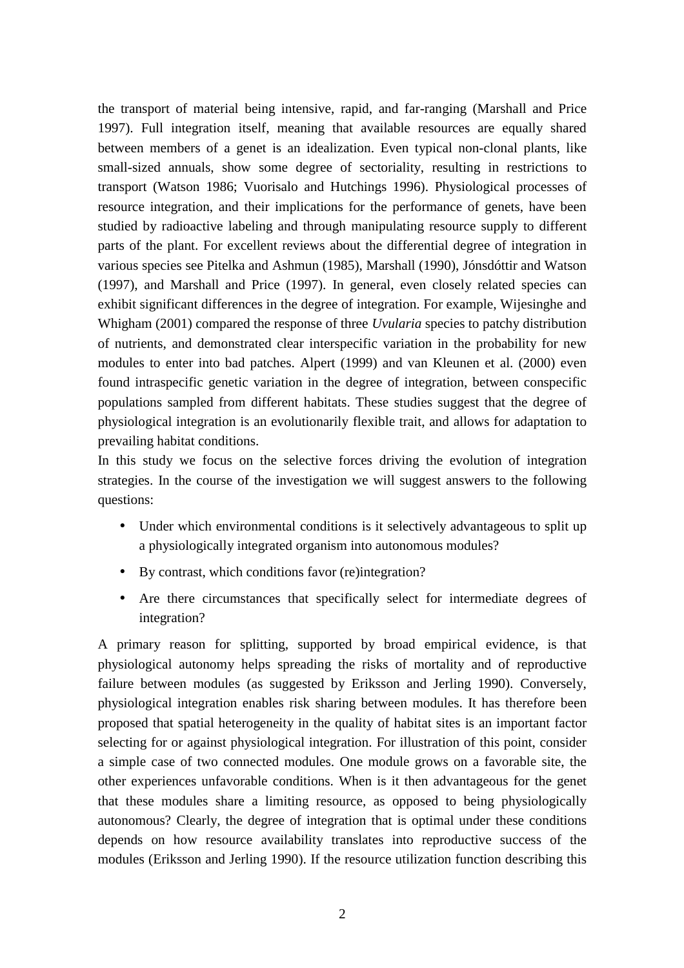the transport of material being intensive, rapid, and far-ranging (Marshall and Price 1997). Full integration itself, meaning that available resources are equally shared between members of a genet is an idealization. Even typical non-clonal plants, like small-sized annuals, show some degree of sectoriality, resulting in restrictions to transport (Watson 1986; Vuorisalo and Hutchings 1996). Physiological processes of resource integration, and their implications for the performance of genets, have been studied by radioactive labeling and through manipulating resource supply to different parts of the plant. For excellent reviews about the differential degree of integration in various species see Pitelka and Ashmun (1985), Marshall (1990), Jónsdóttir and Watson (1997), and Marshall and Price (1997). In general, even closely related species can exhibit significant differences in the degree of integration. For example, Wijesinghe and Whigham (2001) compared the response of three *Uvularia* species to patchy distribution of nutrients, and demonstrated clear interspecific variation in the probability for new modules to enter into bad patches. Alpert (1999) and van Kleunen et al. (2000) even found intraspecific genetic variation in the degree of integration, between conspecific populations sampled from different habitats. These studies suggest that the degree of physiological integration is an evolutionarily flexible trait, and allows for adaptation to prevailing habitat conditions.

In this study we focus on the selective forces driving the evolution of integration strategies. In the course of the investigation we will suggest answers to the following questions:

- Under which environmental conditions is it selectively advantageous to split up a physiologically integrated organism into autonomous modules?
- By contrast, which conditions favor (re)integration?
- Are there circumstances that specifically select for intermediate degrees of integration?

A primary reason for splitting, supported by broad empirical evidence, is that physiological autonomy helps spreading the risks of mortality and of reproductive failure between modules (as suggested by Eriksson and Jerling 1990). Conversely, physiological integration enables risk sharing between modules. It has therefore been proposed that spatial heterogeneity in the quality of habitat sites is an important factor selecting for or against physiological integration. For illustration of this point, consider a simple case of two connected modules. One module grows on a favorable site, the other experiences unfavorable conditions. When is it then advantageous for the genet that these modules share a limiting resource, as opposed to being physiologically autonomous? Clearly, the degree of integration that is optimal under these conditions depends on how resource availability translates into reproductive success of the modules (Eriksson and Jerling 1990). If the resource utilization function describing this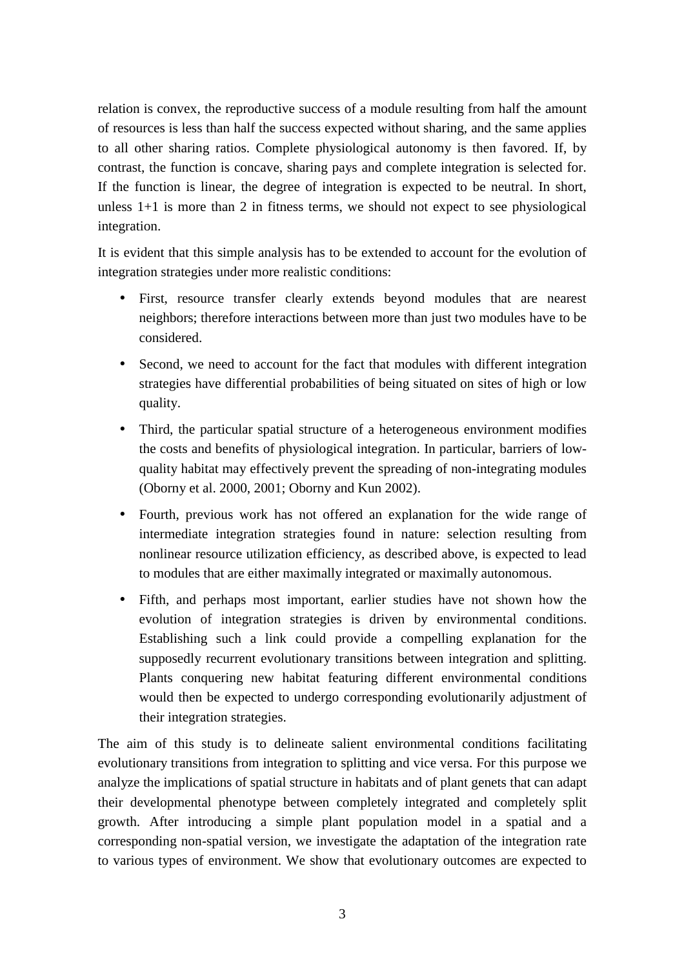relation is convex, the reproductive success of a module resulting from half the amount of resources is less than half the success expected without sharing, and the same applies to all other sharing ratios. Complete physiological autonomy is then favored. If, by contrast, the function is concave, sharing pays and complete integration is selected for. If the function is linear, the degree of integration is expected to be neutral. In short, unless 1+1 is more than 2 in fitness terms, we should not expect to see physiological integration.

It is evident that this simple analysis has to be extended to account for the evolution of integration strategies under more realistic conditions:

- First, resource transfer clearly extends beyond modules that are nearest neighbors; therefore interactions between more than just two modules have to be considered.
- Second, we need to account for the fact that modules with different integration strategies have differential probabilities of being situated on sites of high or low quality.
- Third, the particular spatial structure of a heterogeneous environment modifies the costs and benefits of physiological integration. In particular, barriers of lowquality habitat may effectively prevent the spreading of non-integrating modules (Oborny et al. 2000, 2001; Oborny and Kun 2002).
- Fourth, previous work has not offered an explanation for the wide range of intermediate integration strategies found in nature: selection resulting from nonlinear resource utilization efficiency, as described above, is expected to lead to modules that are either maximally integrated or maximally autonomous.
- Fifth, and perhaps most important, earlier studies have not shown how the evolution of integration strategies is driven by environmental conditions. Establishing such a link could provide a compelling explanation for the supposedly recurrent evolutionary transitions between integration and splitting. Plants conquering new habitat featuring different environmental conditions would then be expected to undergo corresponding evolutionarily adjustment of their integration strategies.

The aim of this study is to delineate salient environmental conditions facilitating evolutionary transitions from integration to splitting and vice versa. For this purpose we analyze the implications of spatial structure in habitats and of plant genets that can adapt their developmental phenotype between completely integrated and completely split growth. After introducing a simple plant population model in a spatial and a corresponding non-spatial version, we investigate the adaptation of the integration rate to various types of environment. We show that evolutionary outcomes are expected to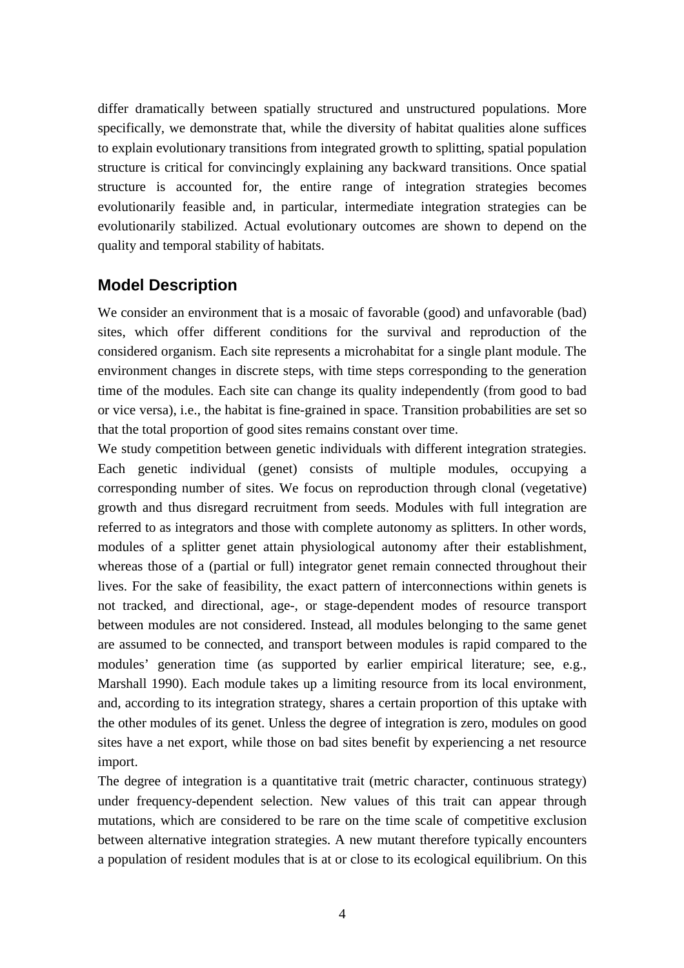differ dramatically between spatially structured and unstructured populations. More specifically, we demonstrate that, while the diversity of habitat qualities alone suffices to explain evolutionary transitions from integrated growth to splitting, spatial population structure is critical for convincingly explaining any backward transitions. Once spatial structure is accounted for, the entire range of integration strategies becomes evolutionarily feasible and, in particular, intermediate integration strategies can be evolutionarily stabilized. Actual evolutionary outcomes are shown to depend on the quality and temporal stability of habitats.

## **Model Description**

We consider an environment that is a mosaic of favorable (good) and unfavorable (bad) sites, which offer different conditions for the survival and reproduction of the considered organism. Each site represents a microhabitat for a single plant module. The environment changes in discrete steps, with time steps corresponding to the generation time of the modules. Each site can change its quality independently (from good to bad or vice versa), i.e., the habitat is fine-grained in space. Transition probabilities are set so that the total proportion of good sites remains constant over time.

We study competition between genetic individuals with different integration strategies. Each genetic individual (genet) consists of multiple modules, occupying a corresponding number of sites. We focus on reproduction through clonal (vegetative) growth and thus disregard recruitment from seeds. Modules with full integration are referred to as integrators and those with complete autonomy as splitters. In other words, modules of a splitter genet attain physiological autonomy after their establishment, whereas those of a (partial or full) integrator genet remain connected throughout their lives. For the sake of feasibility, the exact pattern of interconnections within genets is not tracked, and directional, age-, or stage-dependent modes of resource transport between modules are not considered. Instead, all modules belonging to the same genet are assumed to be connected, and transport between modules is rapid compared to the modules' generation time (as supported by earlier empirical literature; see, e.g., Marshall 1990). Each module takes up a limiting resource from its local environment, and, according to its integration strategy, shares a certain proportion of this uptake with the other modules of its genet. Unless the degree of integration is zero, modules on good sites have a net export, while those on bad sites benefit by experiencing a net resource import.

The degree of integration is a quantitative trait (metric character, continuous strategy) under frequency-dependent selection. New values of this trait can appear through mutations, which are considered to be rare on the time scale of competitive exclusion between alternative integration strategies. A new mutant therefore typically encounters a population of resident modules that is at or close to its ecological equilibrium. On this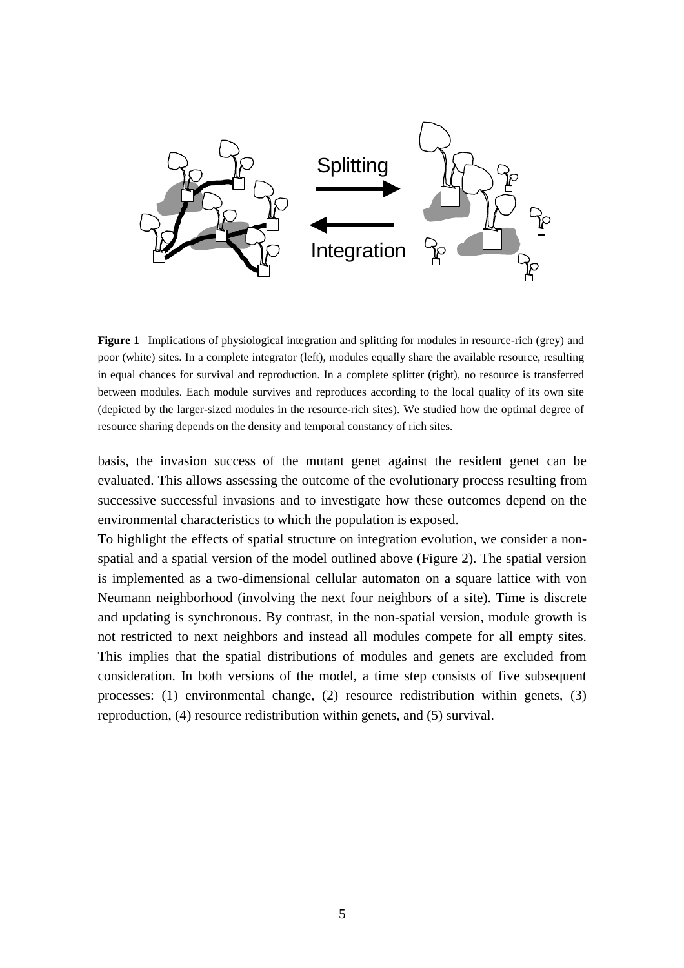

**Figure 1** Implications of physiological integration and splitting for modules in resource-rich (grey) and poor (white) sites. In a complete integrator (left), modules equally share the available resource, resulting in equal chances for survival and reproduction. In a complete splitter (right), no resource is transferred between modules. Each module survives and reproduces according to the local quality of its own site (depicted by the larger-sized modules in the resource-rich sites). We studied how the optimal degree of resource sharing depends on the density and temporal constancy of rich sites.

basis, the invasion success of the mutant genet against the resident genet can be evaluated. This allows assessing the outcome of the evolutionary process resulting from successive successful invasions and to investigate how these outcomes depend on the environmental characteristics to which the population is exposed.

To highlight the effects of spatial structure on integration evolution, we consider a nonspatial and a spatial version of the model outlined above (Figure 2). The spatial version is implemented as a two-dimensional cellular automaton on a square lattice with von Neumann neighborhood (involving the next four neighbors of a site). Time is discrete and updating is synchronous. By contrast, in the non-spatial version, module growth is not restricted to next neighbors and instead all modules compete for all empty sites. This implies that the spatial distributions of modules and genets are excluded from consideration. In both versions of the model, a time step consists of five subsequent processes: (1) environmental change, (2) resource redistribution within genets, (3) reproduction, (4) resource redistribution within genets, and (5) survival.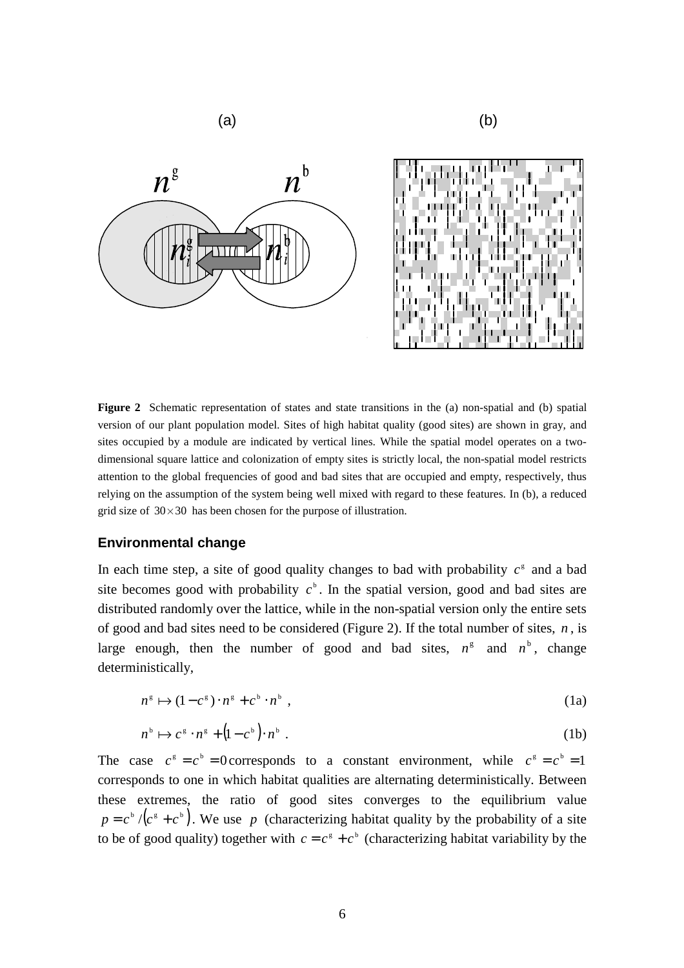



**Figure 2** Schematic representation of states and state transitions in the (a) non-spatial and (b) spatial version of our plant population model. Sites of high habitat quality (good sites) are shown in gray, and sites occupied by a module are indicated by vertical lines. While the spatial model operates on a twodimensional square lattice and colonization of empty sites is strictly local, the non-spatial model restricts attention to the global frequencies of good and bad sites that are occupied and empty, respectively, thus relying on the assumption of the system being well mixed with regard to these features. In (b), a reduced grid size of  $30 \times 30$  has been chosen for the purpose of illustration.

#### **Environmental change**

In each time step, a site of good quality changes to bad with probability  $c^s$  and a bad site becomes good with probability  $c<sup>b</sup>$ . In the spatial version, good and bad sites are distributed randomly over the lattice, while in the non-spatial version only the entire sets of good and bad sites need to be considered (Figure 2). If the total number of sites, *n* , is large enough, then the number of good and bad sites,  $n^g$  and  $n^b$ , change deterministically,

$$
n^{\mathsf{g}} \mapsto (1 - c^{\mathsf{g}}) \cdot n^{\mathsf{g}} + c^{\mathsf{b}} \cdot n^{\mathsf{b}} \tag{1a}
$$

$$
n^{\flat} \mapsto c^{\mathfrak{s}} \cdot n^{\mathfrak{s}} + (1 - c^{\flat}) \cdot n^{\flat} \tag{1b}
$$

The case  $c^s = c^b = 0$  corresponds to a constant environment, while  $c^s = c^b = 1$ corresponds to one in which habitat qualities are alternating deterministically. Between these extremes, the ratio of good sites converges to the equilibrium value  $p = c^b / (c^g + c^b)$ . We use p (characterizing habitat quality by the probability of a site to be of good quality) together with  $c = c^s + c^b$  (characterizing habitat variability by the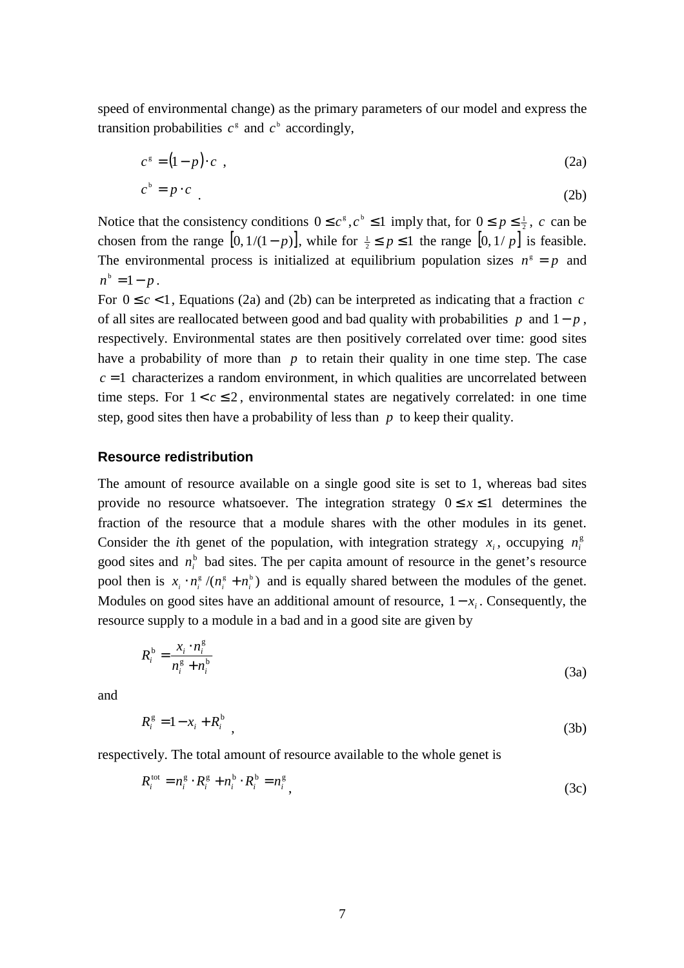speed of environmental change) as the primary parameters of our model and express the transition probabilities  $c^s$  and  $c^b$  accordingly,

$$
c^s = (1-p)\cdot c \tag{2a}
$$

$$
c^b = p \cdot c \tag{2b}
$$

Notice that the consistency conditions  $0 \leq c^s, c^b \leq 1$  imply that, for  $0 \leq p \leq \frac{1}{2}$ , *c* can be chosen from the range  $[0, 1/(1-p)]$ , while for  $\frac{1}{2} \le p \le 1$  the range  $[0, 1/p]$  is feasible. The environmental process is initialized at equilibrium population sizes  $n^s = p$  and  $n^b = 1 - p$ .

For  $0 \leq c < 1$ , Equations (2a) and (2b) can be interpreted as indicating that a fraction *c* of all sites are reallocated between good and bad quality with probabilities *p* and 1− *p* , respectively. Environmental states are then positively correlated over time: good sites have a probability of more than *p* to retain their quality in one time step. The case  $c = 1$  characterizes a random environment, in which qualities are uncorrelated between time steps. For  $1 < c \leq 2$ , environmental states are negatively correlated: in one time step, good sites then have a probability of less than *p* to keep their quality.

#### **Resource redistribution**

The amount of resource available on a single good site is set to 1, whereas bad sites provide no resource whatsoever. The integration strategy  $0 \le x \le 1$  determines the fraction of the resource that a module shares with the other modules in its genet. Consider the *i*th genet of the population, with integration strategy  $x_i$ , occupying  $n_i^g$ good sites and  $n_i^b$  bad sites. The per capita amount of resource in the genet's resource pool then is  $x_i \cdot n_i^s / (n_i^s + n_i^s)$  and is equally shared between the modules of the genet. Modules on good sites have an additional amount of resource,  $1 - x_i$ . Consequently, the resource supply to a module in a bad and in a good site are given by

$$
R_i^{\mathrm{b}} = \frac{x_i \cdot n_i^{\mathrm{g}}}{n_i^{\mathrm{g}} + n_i^{\mathrm{b}}}
$$
 (3a)

and

$$
R_i^{\rm g} = 1 - x_i + R_i^{\rm b} \tag{3b}
$$

respectively. The total amount of resource available to the whole genet is

$$
R_i^{\text{tot}} = n_i^{\text{g}} \cdot R_i^{\text{g}} + n_i^{\text{b}} \cdot R_i^{\text{b}} = n_i^{\text{g}} \tag{3c}
$$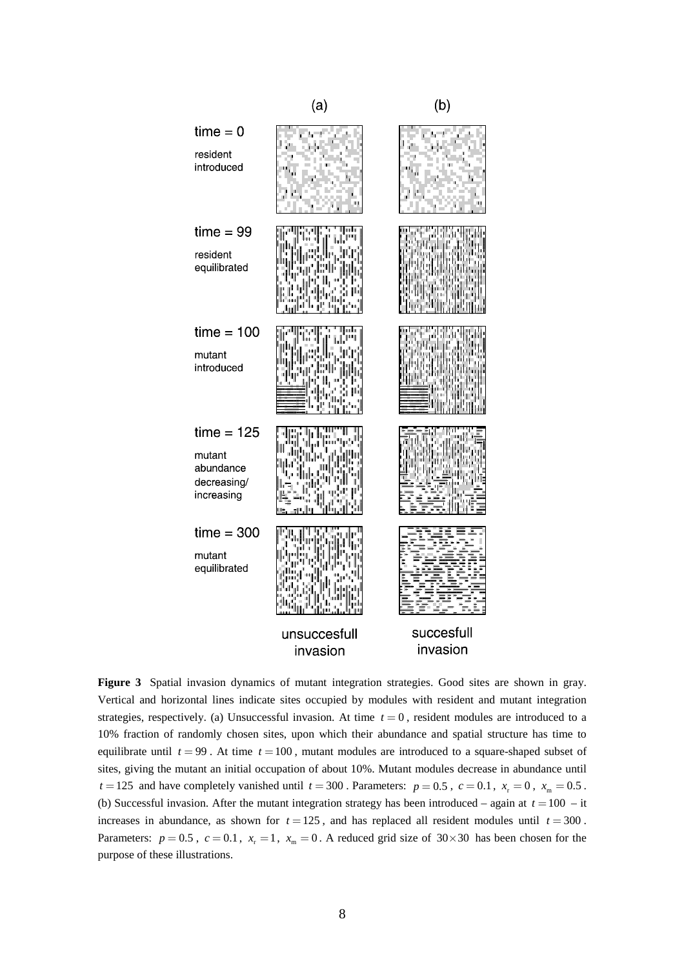

**Figure 3** Spatial invasion dynamics of mutant integration strategies. Good sites are shown in gray. Vertical and horizontal lines indicate sites occupied by modules with resident and mutant integration strategies, respectively. (a) Unsuccessful invasion. At time  $t = 0$ , resident modules are introduced to a 10% fraction of randomly chosen sites, upon which their abundance and spatial structure has time to equilibrate until  $t = 99$ . At time  $t = 100$ , mutant modules are introduced to a square-shaped subset of sites, giving the mutant an initial occupation of about 10%. Mutant modules decrease in abundance until  $t = 125$  and have completely vanished until  $t = 300$ . Parameters:  $p = 0.5$ ,  $c = 0.1$ ,  $x_r = 0$ ,  $x_m = 0.5$ . (b) Successful invasion. After the mutant integration strategy has been introduced – again at  $t = 100 - it$ increases in abundance, as shown for  $t = 125$ , and has replaced all resident modules until  $t = 300$ . Parameters:  $p = 0.5$ ,  $c = 0.1$ ,  $x_r = 1$ ,  $x_m = 0$ . A reduced grid size of 30×30 has been chosen for the purpose of these illustrations.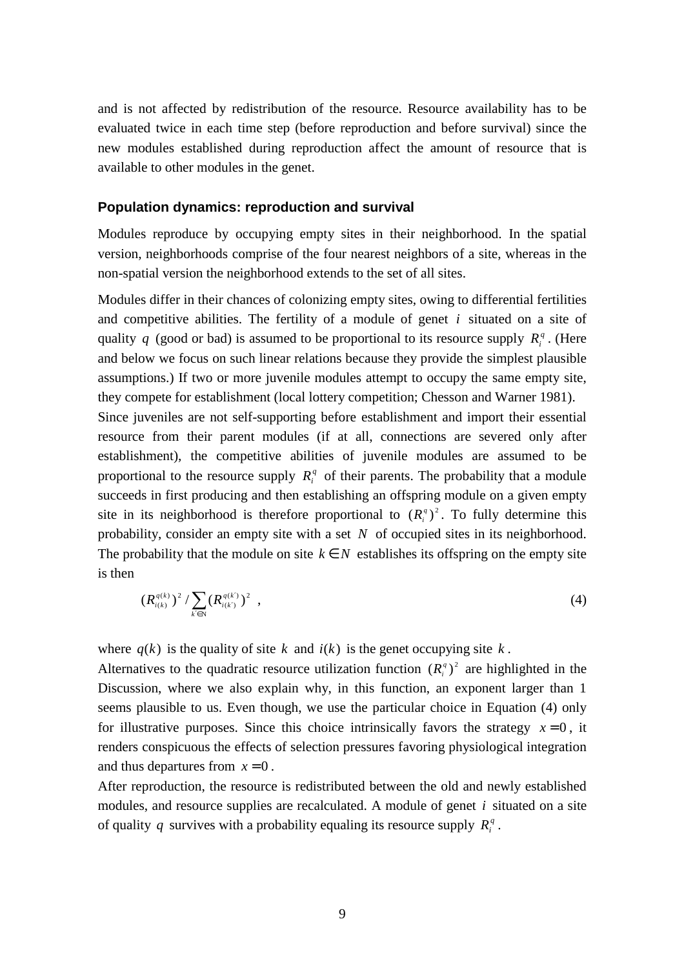and is not affected by redistribution of the resource. Resource availability has to be evaluated twice in each time step (before reproduction and before survival) since the new modules established during reproduction affect the amount of resource that is available to other modules in the genet.

#### **Population dynamics: reproduction and survival**

Modules reproduce by occupying empty sites in their neighborhood. In the spatial version, neighborhoods comprise of the four nearest neighbors of a site, whereas in the non-spatial version the neighborhood extends to the set of all sites.

Modules differ in their chances of colonizing empty sites, owing to differential fertilities and competitive abilities. The fertility of a module of genet *i* situated on a site of quality *q* (good or bad) is assumed to be proportional to its resource supply  $R_i^q$ . (Here and below we focus on such linear relations because they provide the simplest plausible assumptions.) If two or more juvenile modules attempt to occupy the same empty site, they compete for establishment (local lottery competition; Chesson and Warner 1981).

Since juveniles are not self-supporting before establishment and import their essential resource from their parent modules (if at all, connections are severed only after establishment), the competitive abilities of juvenile modules are assumed to be proportional to the resource supply  $R_i^q$  of their parents. The probability that a module succeeds in first producing and then establishing an offspring module on a given empty site in its neighborhood is therefore proportional to  $(R_i^q)^2$ . To fully determine this probability, consider an empty site with a set *N* of occupied sites in its neighborhood. The probability that the module on site  $k \in N$  establishes its offspring on the empty site is then

$$
(R_{i(k)}^{q(k)})^2 / \sum_{k' \in \mathbb{N}} (R_{i(k')}^{q(k')})^2 , \qquad (4)
$$

where  $q(k)$  is the quality of site k and  $i(k)$  is the genet occupying site k.

Alternatives to the quadratic resource utilization function  $(R_i^q)^2$  are highlighted in the Discussion, where we also explain why, in this function, an exponent larger than 1 seems plausible to us. Even though, we use the particular choice in Equation (4) only for illustrative purposes. Since this choice intrinsically favors the strategy  $x=0$ , it renders conspicuous the effects of selection pressures favoring physiological integration and thus departures from  $x = 0$ .

After reproduction, the resource is redistributed between the old and newly established modules, and resource supplies are recalculated. A module of genet *i* situated on a site of quality *q* survives with a probability equaling its resource supply  $R_i^q$ .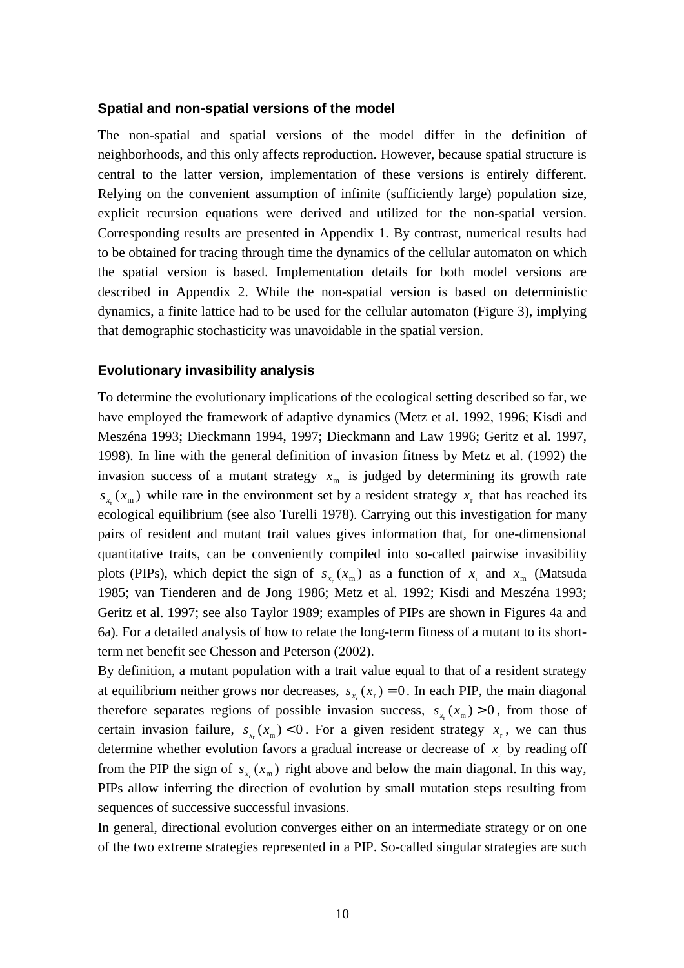#### **Spatial and non-spatial versions of the model**

The non-spatial and spatial versions of the model differ in the definition of neighborhoods, and this only affects reproduction. However, because spatial structure is central to the latter version, implementation of these versions is entirely different. Relying on the convenient assumption of infinite (sufficiently large) population size, explicit recursion equations were derived and utilized for the non-spatial version. Corresponding results are presented in Appendix 1. By contrast, numerical results had to be obtained for tracing through time the dynamics of the cellular automaton on which the spatial version is based. Implementation details for both model versions are described in Appendix 2. While the non-spatial version is based on deterministic dynamics, a finite lattice had to be used for the cellular automaton (Figure 3), implying that demographic stochasticity was unavoidable in the spatial version.

#### **Evolutionary invasibility analysis**

To determine the evolutionary implications of the ecological setting described so far, we have employed the framework of adaptive dynamics (Metz et al. 1992, 1996; Kisdi and Meszéna 1993; Dieckmann 1994, 1997; Dieckmann and Law 1996; Geritz et al. 1997, 1998). In line with the general definition of invasion fitness by Metz et al. (1992) the invasion success of a mutant strategy  $x<sub>m</sub>$  is judged by determining its growth rate  $s_x(x_m)$  while rare in the environment set by a resident strategy  $x_r$  that has reached its ecological equilibrium (see also Turelli 1978). Carrying out this investigation for many pairs of resident and mutant trait values gives information that, for one-dimensional quantitative traits, can be conveniently compiled into so-called pairwise invasibility plots (PIPs), which depict the sign of  $s_x(x_m)$  as a function of  $x_r$  and  $x_m$  (Matsuda 1985; van Tienderen and de Jong 1986; Metz et al. 1992; Kisdi and Meszéna 1993; Geritz et al. 1997; see also Taylor 1989; examples of PIPs are shown in Figures 4a and 6a). For a detailed analysis of how to relate the long-term fitness of a mutant to its shortterm net benefit see Chesson and Peterson (2002).

By definition, a mutant population with a trait value equal to that of a resident strategy at equilibrium neither grows nor decreases,  $s_r(x_r) = 0$ . In each PIP, the main diagonal therefore separates regions of possible invasion success,  $s_r(x_m) > 0$ , from those of certain invasion failure,  $s_{r}(x_m) < 0$ . For a given resident strategy  $x_r$ , we can thus determine whether evolution favors a gradual increase or decrease of  $x<sub>r</sub>$  by reading off from the PIP the sign of  $s_x(x_m)$  right above and below the main diagonal. In this way, PIPs allow inferring the direction of evolution by small mutation steps resulting from sequences of successive successful invasions.

In general, directional evolution converges either on an intermediate strategy or on one of the two extreme strategies represented in a PIP. So-called singular strategies are such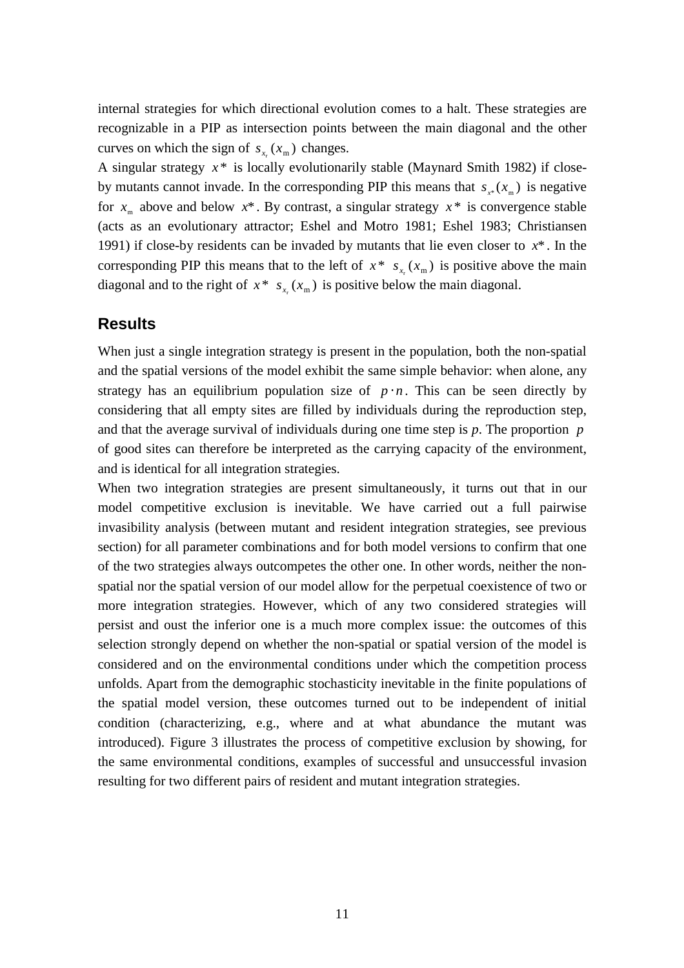internal strategies for which directional evolution comes to a halt. These strategies are recognizable in a PIP as intersection points between the main diagonal and the other curves on which the sign of  $s_{x} ( x_m )$  changes.

A singular strategy  $x^*$  is locally evolutionarily stable (Maynard Smith 1982) if closeby mutants cannot invade. In the corresponding PIP this means that  $s_{r*}(x_m)$  is negative for  $x_m$  above and below  $x^*$ . By contrast, a singular strategy  $x^*$  is convergence stable (acts as an evolutionary attractor; Eshel and Motro 1981; Eshel 1983; Christiansen 1991) if close-by residents can be invaded by mutants that lie even closer to  $x^*$ . In the corresponding PIP this means that to the left of  $x^* s_{x} (x_m)$  is positive above the main diagonal and to the right of  $x^* s_x(x_m)$  is positive below the main diagonal.

## **Results**

When just a single integration strategy is present in the population, both the non-spatial and the spatial versions of the model exhibit the same simple behavior: when alone, any strategy has an equilibrium population size of  $p \cdot n$ . This can be seen directly by considering that all empty sites are filled by individuals during the reproduction step, and that the average survival of individuals during one time step is *p*. The proportion *p* of good sites can therefore be interpreted as the carrying capacity of the environment, and is identical for all integration strategies.

When two integration strategies are present simultaneously, it turns out that in our model competitive exclusion is inevitable. We have carried out a full pairwise invasibility analysis (between mutant and resident integration strategies, see previous section) for all parameter combinations and for both model versions to confirm that one of the two strategies always outcompetes the other one. In other words, neither the nonspatial nor the spatial version of our model allow for the perpetual coexistence of two or more integration strategies. However, which of any two considered strategies will persist and oust the inferior one is a much more complex issue: the outcomes of this selection strongly depend on whether the non-spatial or spatial version of the model is considered and on the environmental conditions under which the competition process unfolds. Apart from the demographic stochasticity inevitable in the finite populations of the spatial model version, these outcomes turned out to be independent of initial condition (characterizing, e.g., where and at what abundance the mutant was introduced). Figure 3 illustrates the process of competitive exclusion by showing, for the same environmental conditions, examples of successful and unsuccessful invasion resulting for two different pairs of resident and mutant integration strategies.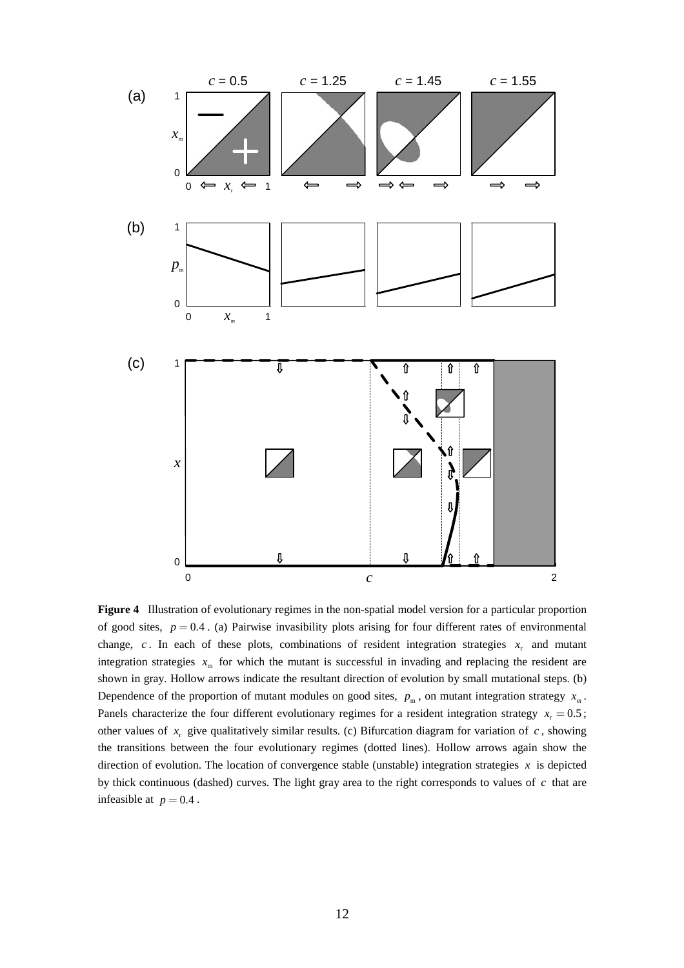

**Figure 4** Illustration of evolutionary regimes in the non-spatial model version for a particular proportion of good sites,  $p = 0.4$ . (a) Pairwise invasibility plots arising for four different rates of environmental change,  $c$ . In each of these plots, combinations of resident integration strategies  $x_r$  and mutant integration strategies  $x<sub>m</sub>$  for which the mutant is successful in invading and replacing the resident are shown in gray. Hollow arrows indicate the resultant direction of evolution by small mutational steps. (b) Dependence of the proportion of mutant modules on good sites,  $p_m$ , on mutant integration strategy  $x_m$ . Panels characterize the four different evolutionary regimes for a resident integration strategy  $x_r = 0.5$ ; other values of  $x_r$  give qualitatively similar results. (c) Bifurcation diagram for variation of  $c$ , showing the transitions between the four evolutionary regimes (dotted lines). Hollow arrows again show the direction of evolution. The location of convergence stable (unstable) integration strategies  $x$  is depicted by thick continuous (dashed) curves. The light gray area to the right corresponds to values of *c* that are infeasible at  $p = 0.4$ .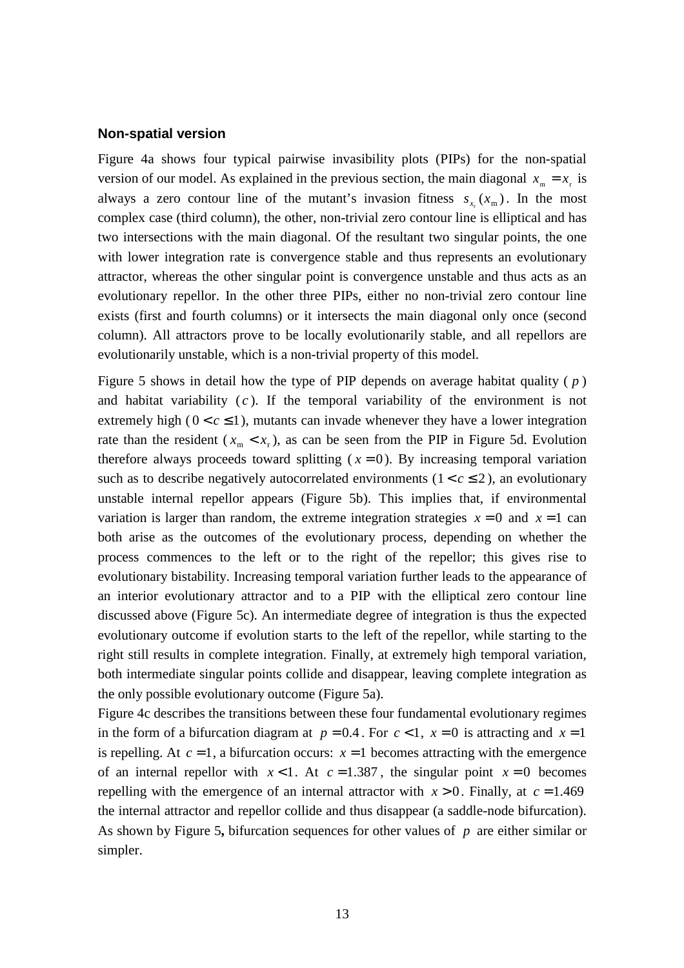#### **Non-spatial version**

Figure 4a shows four typical pairwise invasibility plots (PIPs) for the non-spatial version of our model. As explained in the previous section, the main diagonal  $x_m = x_r$  is always a zero contour line of the mutant's invasion fitness  $s_x(x_m)$ . In the most complex case (third column), the other, non-trivial zero contour line is elliptical and has two intersections with the main diagonal. Of the resultant two singular points, the one with lower integration rate is convergence stable and thus represents an evolutionary attractor, whereas the other singular point is convergence unstable and thus acts as an evolutionary repellor. In the other three PIPs, either no non-trivial zero contour line exists (first and fourth columns) or it intersects the main diagonal only once (second column). All attractors prove to be locally evolutionarily stable, and all repellors are evolutionarily unstable, which is a non-trivial property of this model.

Figure 5 shows in detail how the type of PIP depends on average habitat quality ( *p* ) and habitat variability  $(c)$ . If the temporal variability of the environment is not extremely high ( $0 < c \le 1$ ), mutants can invade whenever they have a lower integration rate than the resident ( $x_m < x_r$ ), as can be seen from the PIP in Figure 5d. Evolution therefore always proceeds toward splitting  $(x = 0)$ . By increasing temporal variation such as to describe negatively autocorrelated environments  $(1 < c \le 2)$ , an evolutionary unstable internal repellor appears (Figure 5b). This implies that, if environmental variation is larger than random, the extreme integration strategies  $x = 0$  and  $x = 1$  can both arise as the outcomes of the evolutionary process, depending on whether the process commences to the left or to the right of the repellor; this gives rise to evolutionary bistability. Increasing temporal variation further leads to the appearance of an interior evolutionary attractor and to a PIP with the elliptical zero contour line discussed above (Figure 5c). An intermediate degree of integration is thus the expected evolutionary outcome if evolution starts to the left of the repellor, while starting to the right still results in complete integration. Finally, at extremely high temporal variation, both intermediate singular points collide and disappear, leaving complete integration as the only possible evolutionary outcome (Figure 5a).

Figure 4c describes the transitions between these four fundamental evolutionary regimes in the form of a bifurcation diagram at  $p = 0.4$ . For  $c < 1$ ,  $x = 0$  is attracting and  $x = 1$ is repelling. At  $c = 1$ , a bifurcation occurs:  $x = 1$  becomes attracting with the emergence of an internal repellor with  $x < 1$ . At  $c = 1.387$ , the singular point  $x = 0$  becomes repelling with the emergence of an internal attractor with  $x > 0$ . Finally, at  $c = 1.469$ the internal attractor and repellor collide and thus disappear (a saddle-node bifurcation). As shown by Figure 5**,** bifurcation sequences for other values of *p* are either similar or simpler.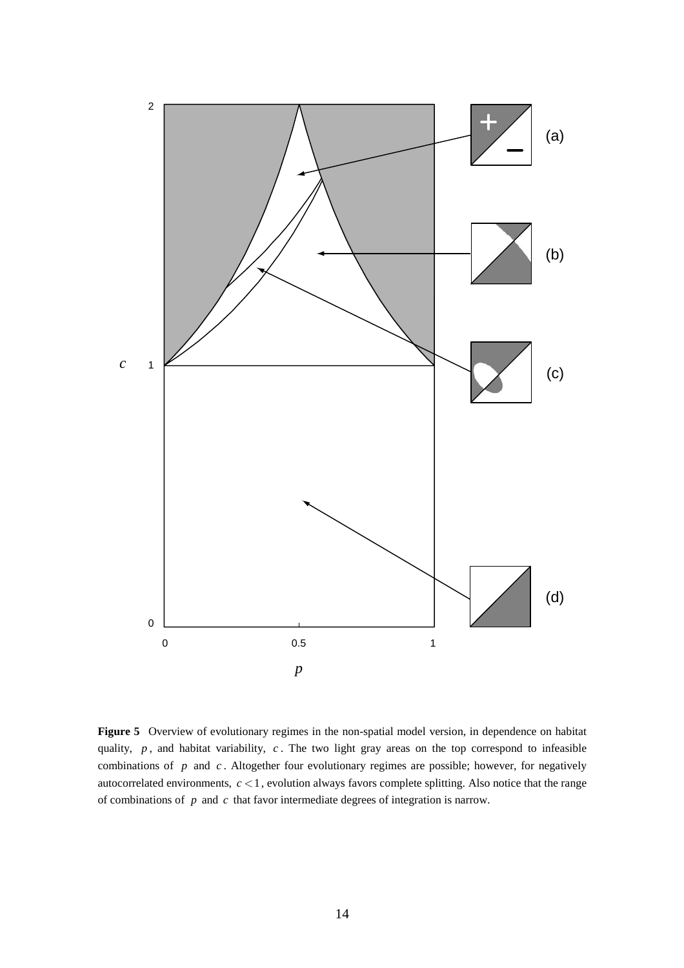

**Figure 5** Overview of evolutionary regimes in the non-spatial model version, in dependence on habitat quality, p, and habitat variability, c. The two light gray areas on the top correspond to infeasible combinations of *p* and *c* . Altogether four evolutionary regimes are possible; however, for negatively autocorrelated environments,  $c < 1$ , evolution always favors complete splitting. Also notice that the range of combinations of *p* and *c* that favor intermediate degrees of integration is narrow.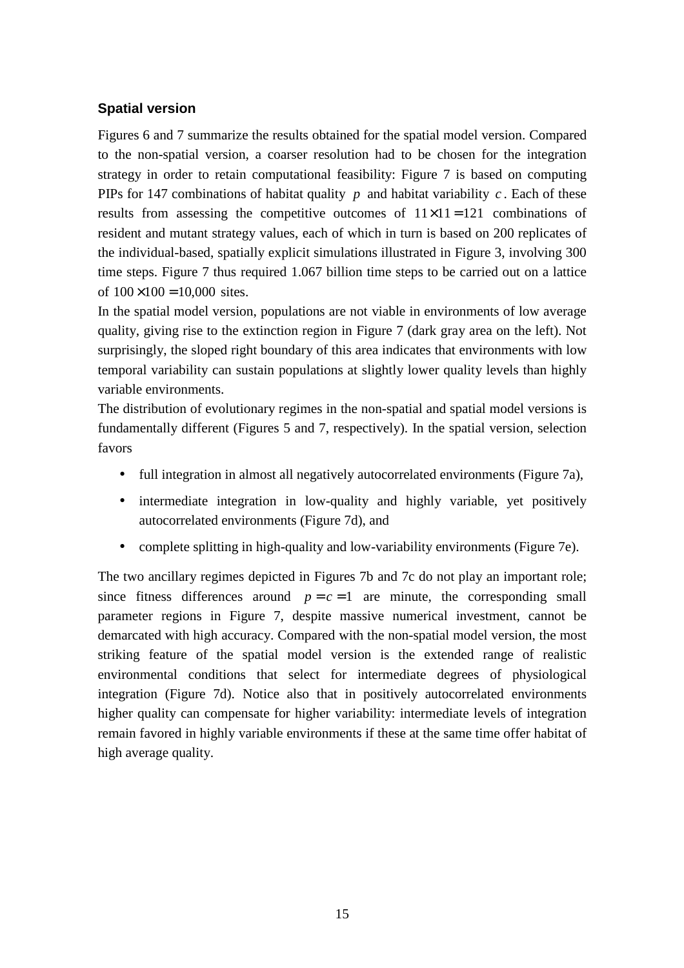### **Spatial version**

Figures 6 and 7 summarize the results obtained for the spatial model version. Compared to the non-spatial version, a coarser resolution had to be chosen for the integration strategy in order to retain computational feasibility: Figure 7 is based on computing PIPs for 147 combinations of habitat quality  $p$  and habitat variability  $c$ . Each of these results from assessing the competitive outcomes of  $11 \times 11 = 121$  combinations of resident and mutant strategy values, each of which in turn is based on 200 replicates of the individual-based, spatially explicit simulations illustrated in Figure 3, involving 300 time steps. Figure 7 thus required 1.067 billion time steps to be carried out on a lattice of  $100 \times 100 = 10,000$  sites.

In the spatial model version, populations are not viable in environments of low average quality, giving rise to the extinction region in Figure 7 (dark gray area on the left). Not surprisingly, the sloped right boundary of this area indicates that environments with low temporal variability can sustain populations at slightly lower quality levels than highly variable environments.

The distribution of evolutionary regimes in the non-spatial and spatial model versions is fundamentally different (Figures 5 and 7, respectively). In the spatial version, selection favors

- full integration in almost all negatively autocorrelated environments (Figure 7a),
- intermediate integration in low-quality and highly variable, yet positively autocorrelated environments (Figure 7d), and
- complete splitting in high-quality and low-variability environments (Figure 7e).

The two ancillary regimes depicted in Figures 7b and 7c do not play an important role; since fitness differences around  $p = c = 1$  are minute, the corresponding small parameter regions in Figure 7, despite massive numerical investment, cannot be demarcated with high accuracy. Compared with the non-spatial model version, the most striking feature of the spatial model version is the extended range of realistic environmental conditions that select for intermediate degrees of physiological integration (Figure 7d). Notice also that in positively autocorrelated environments higher quality can compensate for higher variability: intermediate levels of integration remain favored in highly variable environments if these at the same time offer habitat of high average quality.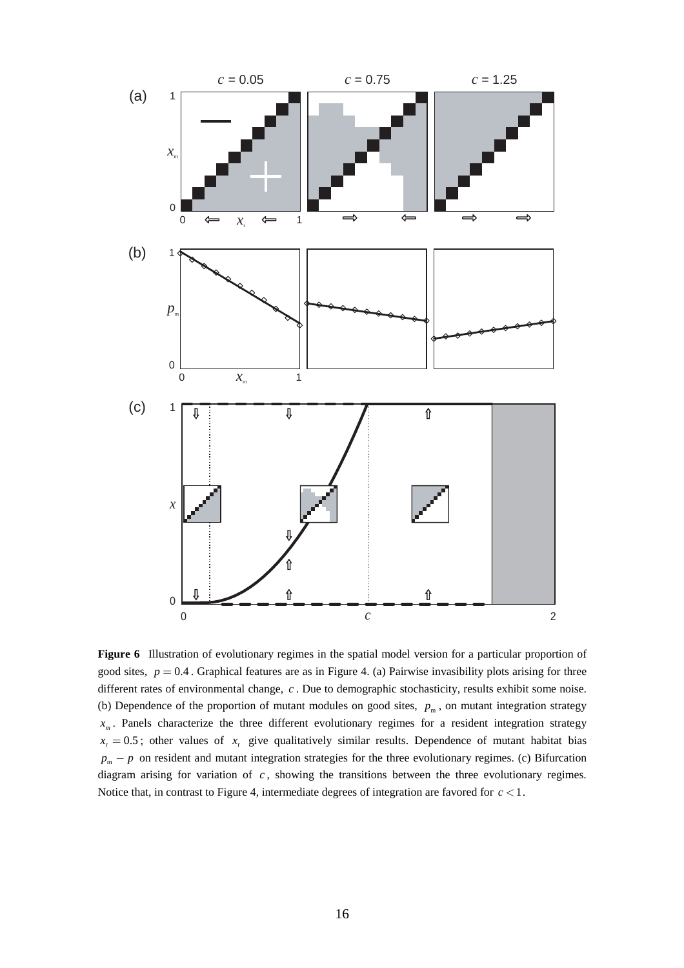

**Figure 6** Illustration of evolutionary regimes in the spatial model version for a particular proportion of good sites,  $p = 0.4$ . Graphical features are as in Figure 4. (a) Pairwise invasibility plots arising for three different rates of environmental change, *c* . Due to demographic stochasticity, results exhibit some noise. (b) Dependence of the proportion of mutant modules on good sites,  $p_m$ , on mutant integration strategy  $x_m$ . Panels characterize the three different evolutionary regimes for a resident integration strategy  $x_r = 0.5$ ; other values of  $x_r$  give qualitatively similar results. Dependence of mutant habitat bias  $p_m - p$  on resident and mutant integration strategies for the three evolutionary regimes. (c) Bifurcation diagram arising for variation of *c* , showing the transitions between the three evolutionary regimes. Notice that, in contrast to Figure 4, intermediate degrees of integration are favored for  $c < 1$ .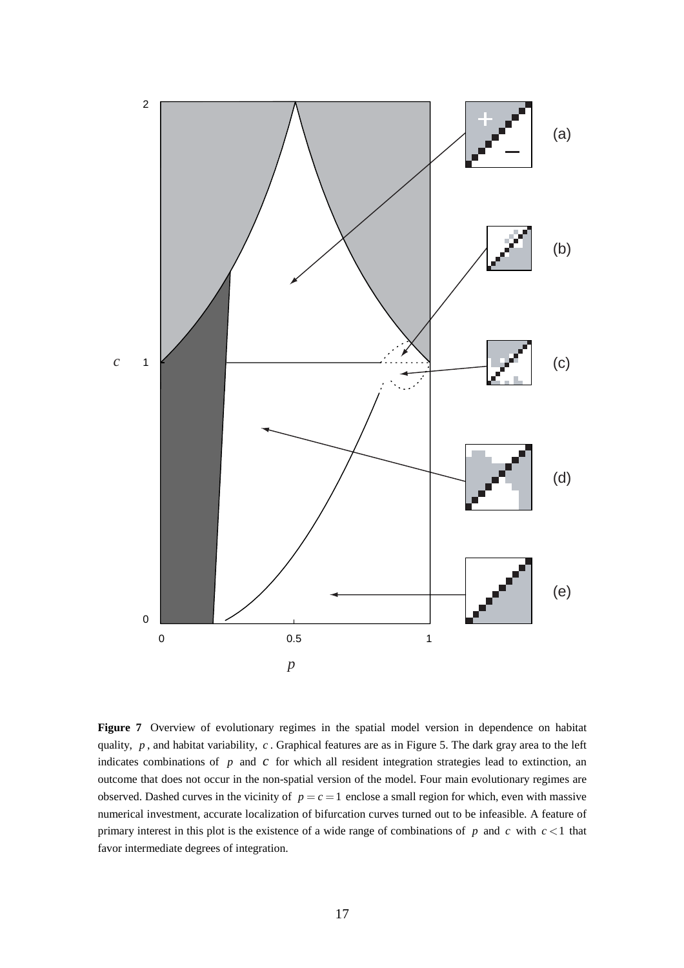

Figure 7 Overview of evolutionary regimes in the spatial model version in dependence on habitat quality, *p* , and habitat variability, *c* . Graphical features are as in Figure 5. The dark gray area to the left indicates combinations of *p* and *c* for which all resident integration strategies lead to extinction, an outcome that does not occur in the non-spatial version of the model. Four main evolutionary regimes are observed. Dashed curves in the vicinity of  $p = c = 1$  enclose a small region for which, even with massive numerical investment, accurate localization of bifurcation curves turned out to be infeasible. A feature of primary interest in this plot is the existence of a wide range of combinations of  $p$  and  $c$  with  $c < 1$  that favor intermediate degrees of integration.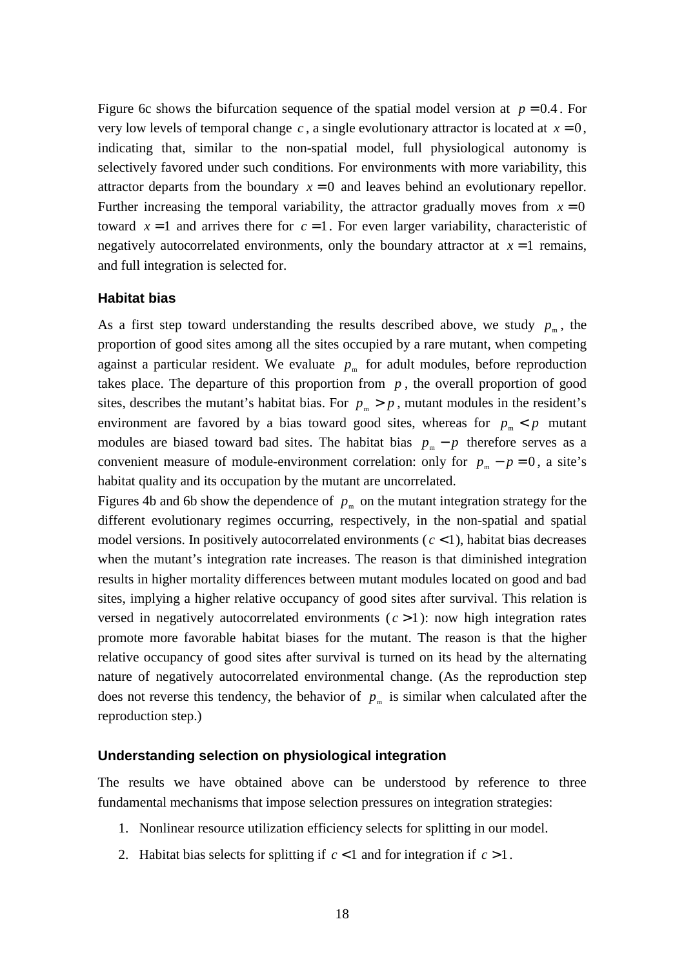Figure 6c shows the bifurcation sequence of the spatial model version at  $p = 0.4$ . For very low levels of temporal change  $c$ , a single evolutionary attractor is located at  $x = 0$ , indicating that, similar to the non-spatial model, full physiological autonomy is selectively favored under such conditions. For environments with more variability, this attractor departs from the boundary  $x = 0$  and leaves behind an evolutionary repellor. Further increasing the temporal variability, the attractor gradually moves from  $x = 0$ toward  $x = 1$  and arrives there for  $c = 1$ . For even larger variability, characteristic of negatively autocorrelated environments, only the boundary attractor at  $x = 1$  remains, and full integration is selected for.

#### **Habitat bias**

As a first step toward understanding the results described above, we study  $p_m$ , the proportion of good sites among all the sites occupied by a rare mutant, when competing against a particular resident. We evaluate  $p_m$  for adult modules, before reproduction takes place. The departure of this proportion from  $p$ , the overall proportion of good sites, describes the mutant's habitat bias. For  $p_m > p$ , mutant modules in the resident's environment are favored by a bias toward good sites, whereas for  $p_m < p$  mutant modules are biased toward bad sites. The habitat bias  $p_m - p$  therefore serves as a convenient measure of module-environment correlation: only for  $p_m - p = 0$ , a site's habitat quality and its occupation by the mutant are uncorrelated.

Figures 4b and 6b show the dependence of  $p_m$  on the mutant integration strategy for the different evolutionary regimes occurring, respectively, in the non-spatial and spatial model versions. In positively autocorrelated environments  $(c < 1)$ , habitat bias decreases when the mutant's integration rate increases. The reason is that diminished integration results in higher mortality differences between mutant modules located on good and bad sites, implying a higher relative occupancy of good sites after survival. This relation is versed in negatively autocorrelated environments  $(c > 1)$ : now high integration rates promote more favorable habitat biases for the mutant. The reason is that the higher relative occupancy of good sites after survival is turned on its head by the alternating nature of negatively autocorrelated environmental change. (As the reproduction step does not reverse this tendency, the behavior of  $p_m$  is similar when calculated after the reproduction step.)

#### **Understanding selection on physiological integration**

The results we have obtained above can be understood by reference to three fundamental mechanisms that impose selection pressures on integration strategies:

- 1. Nonlinear resource utilization efficiency selects for splitting in our model.
- 2. Habitat bias selects for splitting if  $c < 1$  and for integration if  $c > 1$ .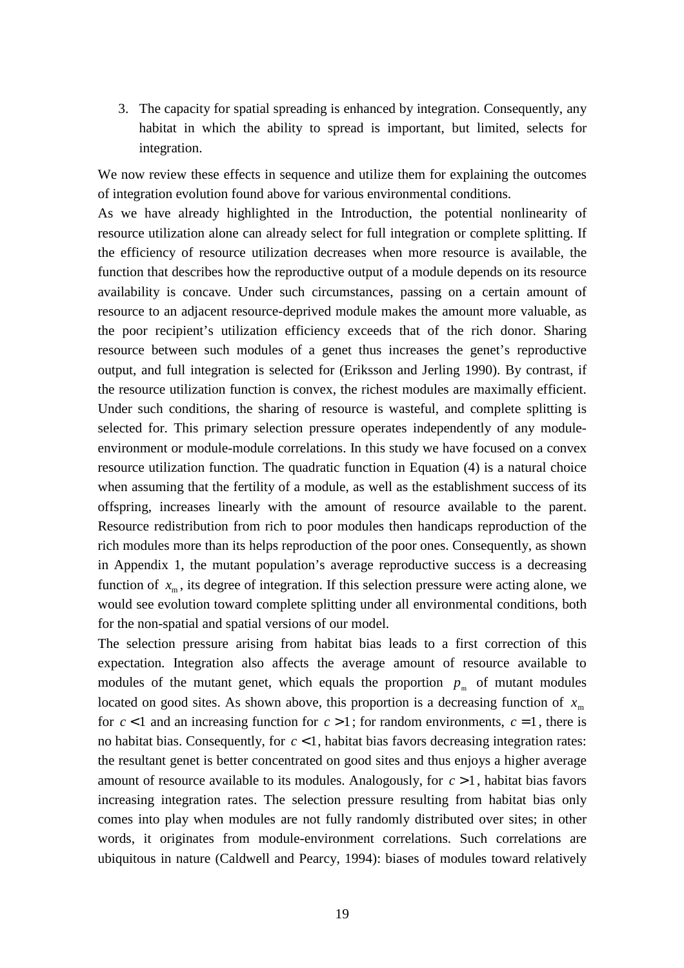3. The capacity for spatial spreading is enhanced by integration. Consequently, any habitat in which the ability to spread is important, but limited, selects for integration.

We now review these effects in sequence and utilize them for explaining the outcomes of integration evolution found above for various environmental conditions.

As we have already highlighted in the Introduction, the potential nonlinearity of resource utilization alone can already select for full integration or complete splitting. If the efficiency of resource utilization decreases when more resource is available, the function that describes how the reproductive output of a module depends on its resource availability is concave. Under such circumstances, passing on a certain amount of resource to an adjacent resource-deprived module makes the amount more valuable, as the poor recipient's utilization efficiency exceeds that of the rich donor. Sharing resource between such modules of a genet thus increases the genet's reproductive output, and full integration is selected for (Eriksson and Jerling 1990). By contrast, if the resource utilization function is convex, the richest modules are maximally efficient. Under such conditions, the sharing of resource is wasteful, and complete splitting is selected for. This primary selection pressure operates independently of any moduleenvironment or module-module correlations. In this study we have focused on a convex resource utilization function. The quadratic function in Equation (4) is a natural choice when assuming that the fertility of a module, as well as the establishment success of its offspring, increases linearly with the amount of resource available to the parent. Resource redistribution from rich to poor modules then handicaps reproduction of the rich modules more than its helps reproduction of the poor ones. Consequently, as shown in Appendix 1, the mutant population's average reproductive success is a decreasing function of  $x<sub>m</sub>$ , its degree of integration. If this selection pressure were acting alone, we would see evolution toward complete splitting under all environmental conditions, both for the non-spatial and spatial versions of our model.

The selection pressure arising from habitat bias leads to a first correction of this expectation. Integration also affects the average amount of resource available to modules of the mutant genet, which equals the proportion  $p_m$  of mutant modules located on good sites. As shown above, this proportion is a decreasing function of  $x<sub>m</sub>$ for  $c < 1$  and an increasing function for  $c > 1$ ; for random environments,  $c = 1$ , there is no habitat bias. Consequently, for  $c < 1$ , habitat bias favors decreasing integration rates: the resultant genet is better concentrated on good sites and thus enjoys a higher average amount of resource available to its modules. Analogously, for  $c > 1$ , habitat bias favors increasing integration rates. The selection pressure resulting from habitat bias only comes into play when modules are not fully randomly distributed over sites; in other words, it originates from module-environment correlations. Such correlations are ubiquitous in nature (Caldwell and Pearcy, 1994): biases of modules toward relatively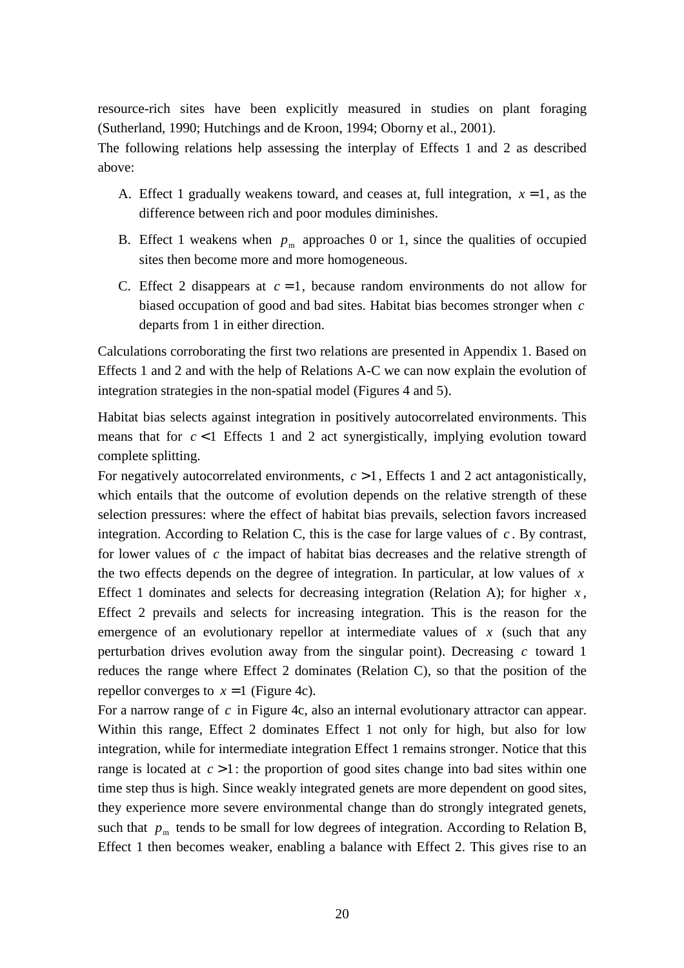resource-rich sites have been explicitly measured in studies on plant foraging (Sutherland, 1990; Hutchings and de Kroon, 1994; Oborny et al., 2001).

The following relations help assessing the interplay of Effects 1 and 2 as described above:

- A. Effect 1 gradually weakens toward, and ceases at, full integration,  $x = 1$ , as the difference between rich and poor modules diminishes.
- B. Effect 1 weakens when  $p_m$  approaches 0 or 1, since the qualities of occupied sites then become more and more homogeneous.
- C. Effect 2 disappears at  $c = 1$ , because random environments do not allow for biased occupation of good and bad sites. Habitat bias becomes stronger when *c* departs from 1 in either direction.

Calculations corroborating the first two relations are presented in Appendix 1. Based on Effects 1 and 2 and with the help of Relations A-C we can now explain the evolution of integration strategies in the non-spatial model (Figures 4 and 5).

Habitat bias selects against integration in positively autocorrelated environments. This means that for  $c < 1$  Effects 1 and 2 act synergistically, implying evolution toward complete splitting.

For negatively autocorrelated environments,  $c > 1$ , Effects 1 and 2 act antagonistically, which entails that the outcome of evolution depends on the relative strength of these selection pressures: where the effect of habitat bias prevails, selection favors increased integration. According to Relation C, this is the case for large values of  $c$ . By contrast, for lower values of *c* the impact of habitat bias decreases and the relative strength of the two effects depends on the degree of integration. In particular, at low values of *x* Effect 1 dominates and selects for decreasing integration (Relation A); for higher  $x$ , Effect 2 prevails and selects for increasing integration. This is the reason for the emergence of an evolutionary repellor at intermediate values of  $x$  (such that any perturbation drives evolution away from the singular point). Decreasing *c* toward 1 reduces the range where Effect 2 dominates (Relation C), so that the position of the repellor converges to  $x = 1$  (Figure 4c).

For a narrow range of *c* in Figure 4c, also an internal evolutionary attractor can appear. Within this range, Effect 2 dominates Effect 1 not only for high, but also for low integration, while for intermediate integration Effect 1 remains stronger. Notice that this range is located at  $c > 1$ : the proportion of good sites change into bad sites within one time step thus is high. Since weakly integrated genets are more dependent on good sites, they experience more severe environmental change than do strongly integrated genets, such that  $p_m$  tends to be small for low degrees of integration. According to Relation B, Effect 1 then becomes weaker, enabling a balance with Effect 2. This gives rise to an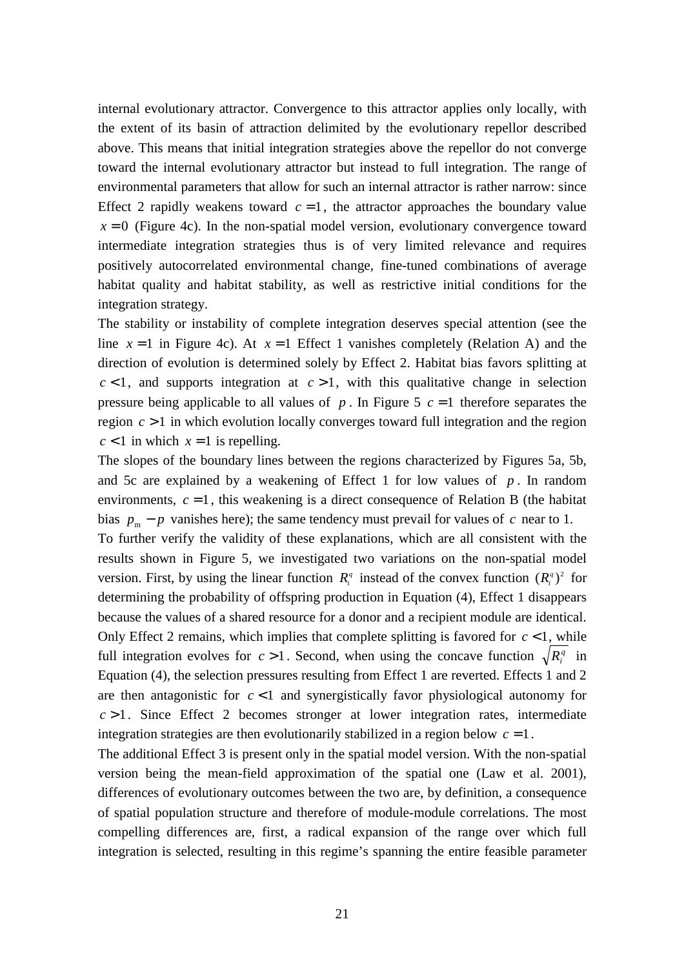internal evolutionary attractor. Convergence to this attractor applies only locally, with the extent of its basin of attraction delimited by the evolutionary repellor described above. This means that initial integration strategies above the repellor do not converge toward the internal evolutionary attractor but instead to full integration. The range of environmental parameters that allow for such an internal attractor is rather narrow: since Effect 2 rapidly weakens toward  $c = 1$ , the attractor approaches the boundary value  $x = 0$  (Figure 4c). In the non-spatial model version, evolutionary convergence toward intermediate integration strategies thus is of very limited relevance and requires positively autocorrelated environmental change, fine-tuned combinations of average habitat quality and habitat stability, as well as restrictive initial conditions for the integration strategy.

The stability or instability of complete integration deserves special attention (see the line  $x = 1$  in Figure 4c). At  $x = 1$  Effect 1 vanishes completely (Relation A) and the direction of evolution is determined solely by Effect 2. Habitat bias favors splitting at  $c < 1$ , and supports integration at  $c > 1$ , with this qualitative change in selection pressure being applicable to all values of  $p$ . In Figure 5  $c = 1$  therefore separates the region *c* > 1 in which evolution locally converges toward full integration and the region  $c < 1$  in which  $x = 1$  is repelling.

The slopes of the boundary lines between the regions characterized by Figures 5a, 5b, and 5c are explained by a weakening of Effect 1 for low values of  $p$ . In random environments,  $c = 1$ , this weakening is a direct consequence of Relation B (the habitat bias  $p_m - p$  vanishes here); the same tendency must prevail for values of *c* near to 1.

To further verify the validity of these explanations, which are all consistent with the results shown in Figure 5, we investigated two variations on the non-spatial model version. First, by using the linear function  $R_i^q$  instead of the convex function  $(R_i^q)^2$  for determining the probability of offspring production in Equation (4), Effect 1 disappears because the values of a shared resource for a donor and a recipient module are identical. Only Effect 2 remains, which implies that complete splitting is favored for  $c < 1$ , while full integration evolves for  $c > 1$ . Second, when using the concave function  $\sqrt{R_i^q}$  in Equation (4), the selection pressures resulting from Effect 1 are reverted. Effects 1 and 2 are then antagonistic for  $c < 1$  and synergistically favor physiological autonomy for  $c > 1$ . Since Effect 2 becomes stronger at lower integration rates, intermediate integration strategies are then evolutionarily stabilized in a region below  $c = 1$ .

The additional Effect 3 is present only in the spatial model version. With the non-spatial version being the mean-field approximation of the spatial one (Law et al. 2001), differences of evolutionary outcomes between the two are, by definition, a consequence of spatial population structure and therefore of module-module correlations. The most compelling differences are, first, a radical expansion of the range over which full integration is selected, resulting in this regime's spanning the entire feasible parameter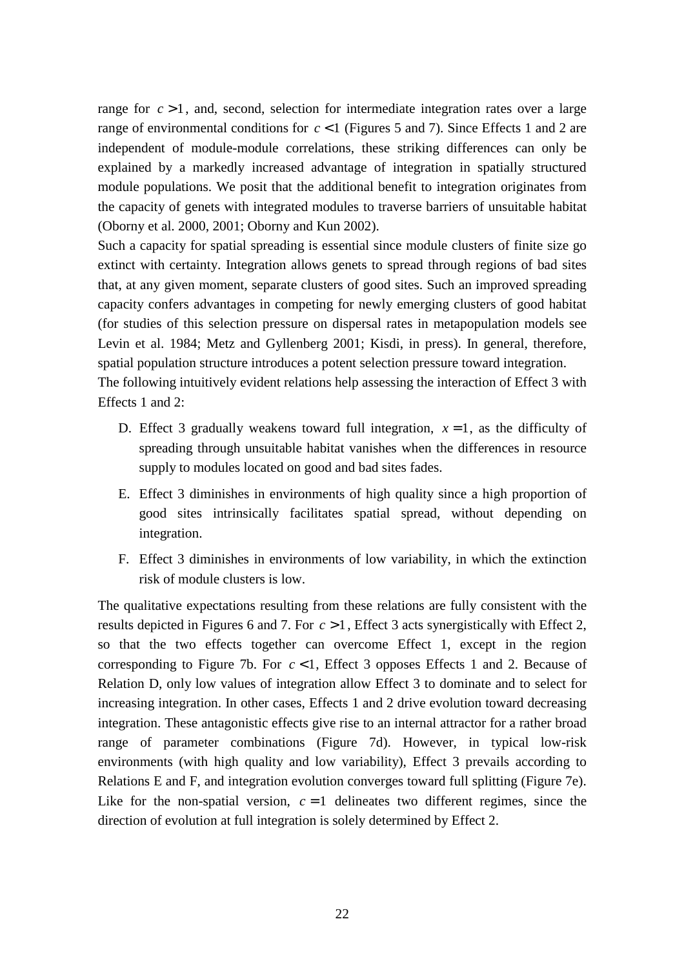range for  $c > 1$ , and, second, selection for intermediate integration rates over a large range of environmental conditions for *c* < 1 (Figures 5 and 7). Since Effects 1 and 2 are independent of module-module correlations, these striking differences can only be explained by a markedly increased advantage of integration in spatially structured module populations. We posit that the additional benefit to integration originates from the capacity of genets with integrated modules to traverse barriers of unsuitable habitat (Oborny et al. 2000, 2001; Oborny and Kun 2002).

Such a capacity for spatial spreading is essential since module clusters of finite size go extinct with certainty. Integration allows genets to spread through regions of bad sites that, at any given moment, separate clusters of good sites. Such an improved spreading capacity confers advantages in competing for newly emerging clusters of good habitat (for studies of this selection pressure on dispersal rates in metapopulation models see Levin et al. 1984; Metz and Gyllenberg 2001; Kisdi, in press). In general, therefore, spatial population structure introduces a potent selection pressure toward integration.

The following intuitively evident relations help assessing the interaction of Effect 3 with Effects 1 and 2:

- D. Effect 3 gradually weakens toward full integration,  $x = 1$ , as the difficulty of spreading through unsuitable habitat vanishes when the differences in resource supply to modules located on good and bad sites fades.
- E. Effect 3 diminishes in environments of high quality since a high proportion of good sites intrinsically facilitates spatial spread, without depending on integration.
- F. Effect 3 diminishes in environments of low variability, in which the extinction risk of module clusters is low.

The qualitative expectations resulting from these relations are fully consistent with the results depicted in Figures 6 and 7. For *c* > 1, Effect 3 acts synergistically with Effect 2, so that the two effects together can overcome Effect 1, except in the region corresponding to Figure 7b. For  $c < 1$ , Effect 3 opposes Effects 1 and 2. Because of Relation D, only low values of integration allow Effect 3 to dominate and to select for increasing integration. In other cases, Effects 1 and 2 drive evolution toward decreasing integration. These antagonistic effects give rise to an internal attractor for a rather broad range of parameter combinations (Figure 7d). However, in typical low-risk environments (with high quality and low variability), Effect 3 prevails according to Relations E and F, and integration evolution converges toward full splitting (Figure 7e). Like for the non-spatial version,  $c = 1$  delineates two different regimes, since the direction of evolution at full integration is solely determined by Effect 2.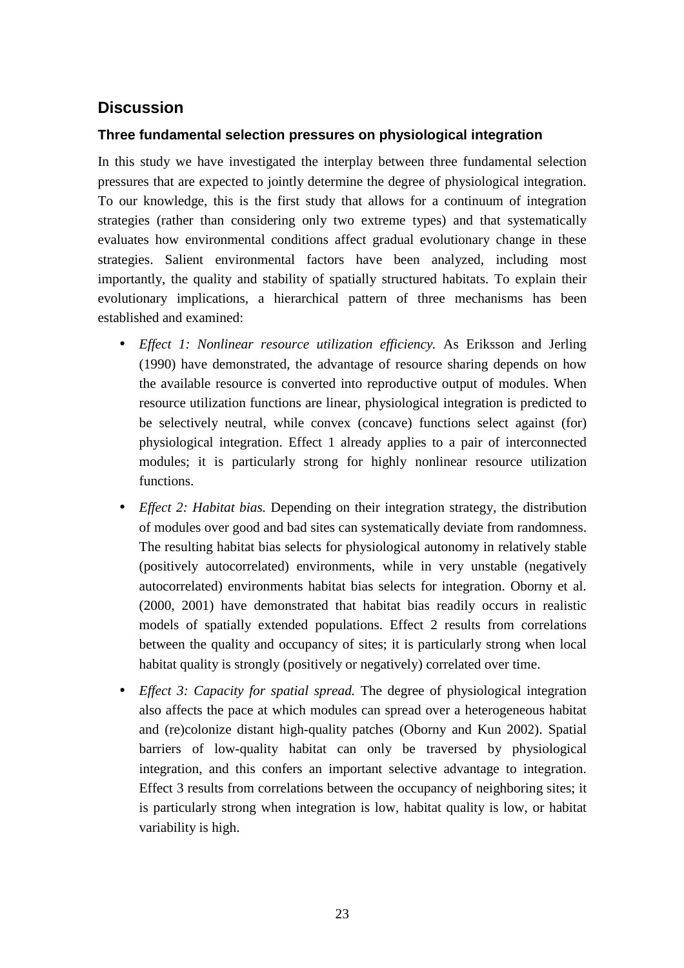## **Discussion**

## **Three fundamental selection pressures on physiological integration**

In this study we have investigated the interplay between three fundamental selection pressures that are expected to jointly determine the degree of physiological integration. To our knowledge, this is the first study that allows for a continuum of integration strategies (rather than considering only two extreme types) and that systematically evaluates how environmental conditions affect gradual evolutionary change in these strategies. Salient environmental factors have been analyzed, including most importantly, the quality and stability of spatially structured habitats. To explain their evolutionary implications, a hierarchical pattern of three mechanisms has been established and examined:

- *Effect 1: Nonlinear resource utilization efficiency.* As Eriksson and Jerling (1990) have demonstrated, the advantage of resource sharing depends on how the available resource is converted into reproductive output of modules. When resource utilization functions are linear, physiological integration is predicted to be selectively neutral, while convex (concave) functions select against (for) physiological integration. Effect 1 already applies to a pair of interconnected modules; it is particularly strong for highly nonlinear resource utilization functions.
- *Effect 2: Habitat bias.* Depending on their integration strategy, the distribution of modules over good and bad sites can systematically deviate from randomness. The resulting habitat bias selects for physiological autonomy in relatively stable (positively autocorrelated) environments, while in very unstable (negatively autocorrelated) environments habitat bias selects for integration. Oborny et al. (2000, 2001) have demonstrated that habitat bias readily occurs in realistic models of spatially extended populations. Effect 2 results from correlations between the quality and occupancy of sites; it is particularly strong when local habitat quality is strongly (positively or negatively) correlated over time.
- *Effect 3: Capacity for spatial spread.* The degree of physiological integration also affects the pace at which modules can spread over a heterogeneous habitat and (re)colonize distant high-quality patches (Oborny and Kun 2002). Spatial barriers of low-quality habitat can only be traversed by physiological integration, and this confers an important selective advantage to integration. Effect 3 results from correlations between the occupancy of neighboring sites; it is particularly strong when integration is low, habitat quality is low, or habitat variability is high.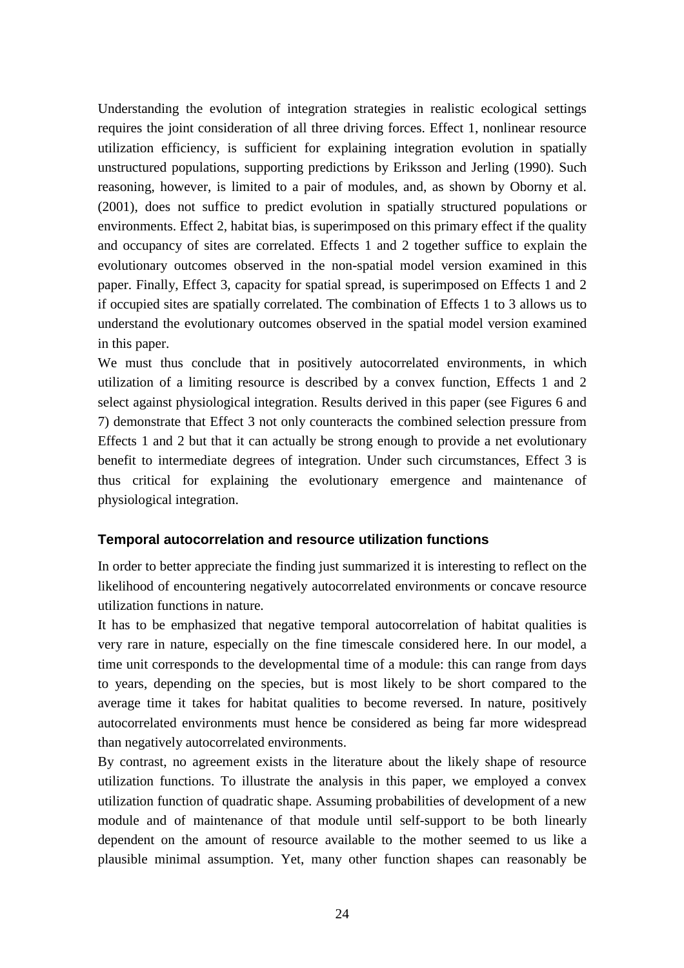Understanding the evolution of integration strategies in realistic ecological settings requires the joint consideration of all three driving forces. Effect 1, nonlinear resource utilization efficiency, is sufficient for explaining integration evolution in spatially unstructured populations, supporting predictions by Eriksson and Jerling (1990). Such reasoning, however, is limited to a pair of modules, and, as shown by Oborny et al. (2001), does not suffice to predict evolution in spatially structured populations or environments. Effect 2, habitat bias, is superimposed on this primary effect if the quality and occupancy of sites are correlated. Effects 1 and 2 together suffice to explain the evolutionary outcomes observed in the non-spatial model version examined in this paper. Finally, Effect 3, capacity for spatial spread, is superimposed on Effects 1 and 2 if occupied sites are spatially correlated. The combination of Effects 1 to 3 allows us to understand the evolutionary outcomes observed in the spatial model version examined in this paper.

We must thus conclude that in positively autocorrelated environments, in which utilization of a limiting resource is described by a convex function, Effects 1 and 2 select against physiological integration. Results derived in this paper (see Figures 6 and 7) demonstrate that Effect 3 not only counteracts the combined selection pressure from Effects 1 and 2 but that it can actually be strong enough to provide a net evolutionary benefit to intermediate degrees of integration. Under such circumstances, Effect 3 is thus critical for explaining the evolutionary emergence and maintenance of physiological integration.

### **Temporal autocorrelation and resource utilization functions**

In order to better appreciate the finding just summarized it is interesting to reflect on the likelihood of encountering negatively autocorrelated environments or concave resource utilization functions in nature.

It has to be emphasized that negative temporal autocorrelation of habitat qualities is very rare in nature, especially on the fine timescale considered here. In our model, a time unit corresponds to the developmental time of a module: this can range from days to years, depending on the species, but is most likely to be short compared to the average time it takes for habitat qualities to become reversed. In nature, positively autocorrelated environments must hence be considered as being far more widespread than negatively autocorrelated environments.

By contrast, no agreement exists in the literature about the likely shape of resource utilization functions. To illustrate the analysis in this paper, we employed a convex utilization function of quadratic shape. Assuming probabilities of development of a new module and of maintenance of that module until self-support to be both linearly dependent on the amount of resource available to the mother seemed to us like a plausible minimal assumption. Yet, many other function shapes can reasonably be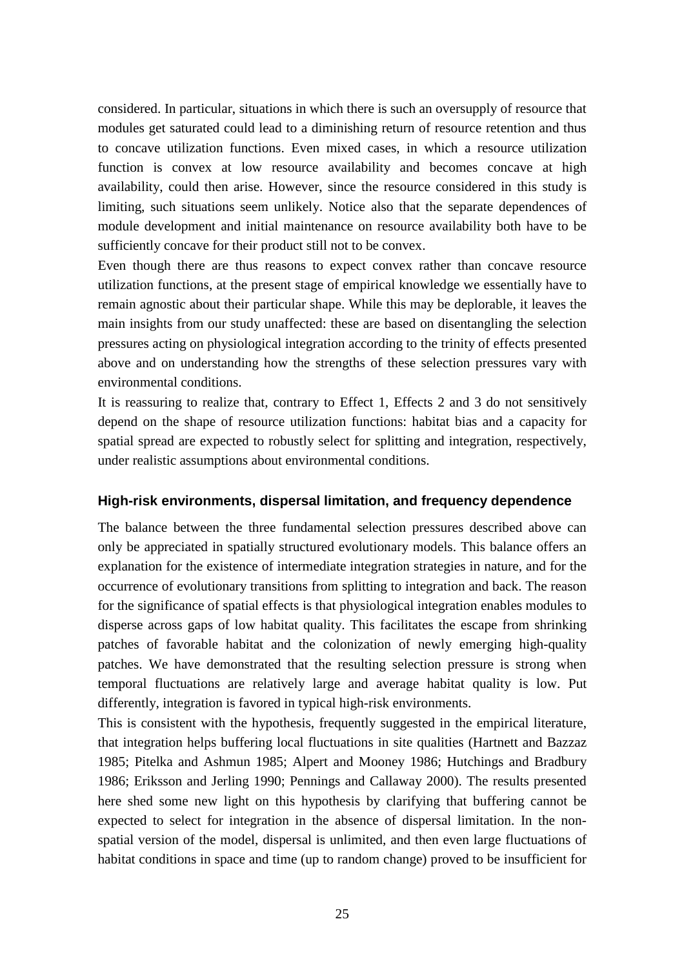considered. In particular, situations in which there is such an oversupply of resource that modules get saturated could lead to a diminishing return of resource retention and thus to concave utilization functions. Even mixed cases, in which a resource utilization function is convex at low resource availability and becomes concave at high availability, could then arise. However, since the resource considered in this study is limiting, such situations seem unlikely. Notice also that the separate dependences of module development and initial maintenance on resource availability both have to be sufficiently concave for their product still not to be convex.

Even though there are thus reasons to expect convex rather than concave resource utilization functions, at the present stage of empirical knowledge we essentially have to remain agnostic about their particular shape. While this may be deplorable, it leaves the main insights from our study unaffected: these are based on disentangling the selection pressures acting on physiological integration according to the trinity of effects presented above and on understanding how the strengths of these selection pressures vary with environmental conditions.

It is reassuring to realize that, contrary to Effect 1, Effects 2 and 3 do not sensitively depend on the shape of resource utilization functions: habitat bias and a capacity for spatial spread are expected to robustly select for splitting and integration, respectively, under realistic assumptions about environmental conditions.

#### **High-risk environments, dispersal limitation, and frequency dependence**

The balance between the three fundamental selection pressures described above can only be appreciated in spatially structured evolutionary models. This balance offers an explanation for the existence of intermediate integration strategies in nature, and for the occurrence of evolutionary transitions from splitting to integration and back. The reason for the significance of spatial effects is that physiological integration enables modules to disperse across gaps of low habitat quality. This facilitates the escape from shrinking patches of favorable habitat and the colonization of newly emerging high-quality patches. We have demonstrated that the resulting selection pressure is strong when temporal fluctuations are relatively large and average habitat quality is low. Put differently, integration is favored in typical high-risk environments.

This is consistent with the hypothesis, frequently suggested in the empirical literature, that integration helps buffering local fluctuations in site qualities (Hartnett and Bazzaz 1985; Pitelka and Ashmun 1985; Alpert and Mooney 1986; Hutchings and Bradbury 1986; Eriksson and Jerling 1990; Pennings and Callaway 2000). The results presented here shed some new light on this hypothesis by clarifying that buffering cannot be expected to select for integration in the absence of dispersal limitation. In the nonspatial version of the model, dispersal is unlimited, and then even large fluctuations of habitat conditions in space and time (up to random change) proved to be insufficient for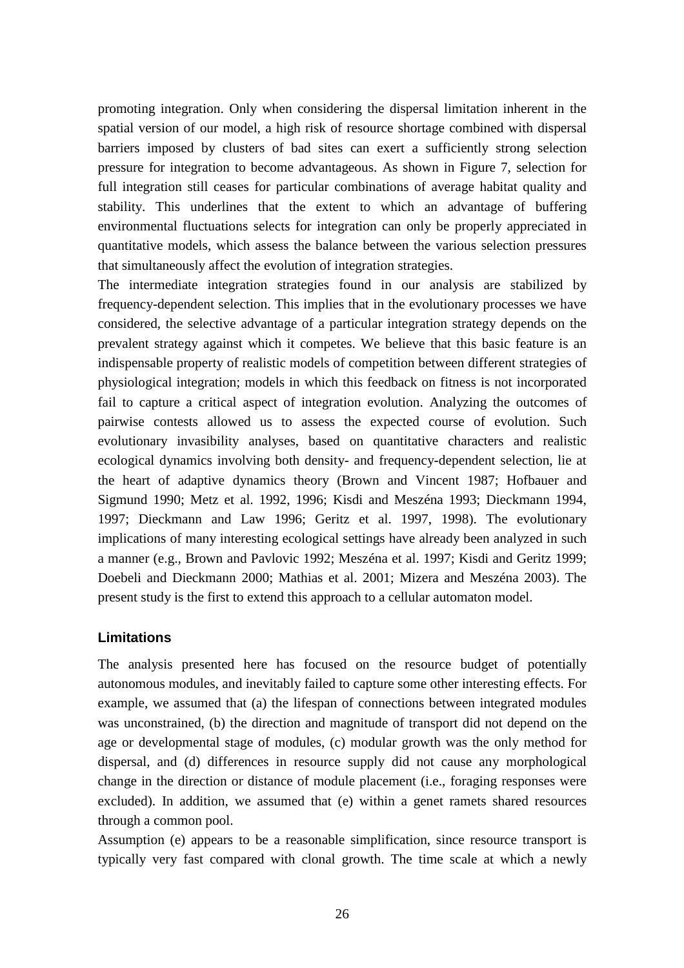promoting integration. Only when considering the dispersal limitation inherent in the spatial version of our model, a high risk of resource shortage combined with dispersal barriers imposed by clusters of bad sites can exert a sufficiently strong selection pressure for integration to become advantageous. As shown in Figure 7, selection for full integration still ceases for particular combinations of average habitat quality and stability. This underlines that the extent to which an advantage of buffering environmental fluctuations selects for integration can only be properly appreciated in quantitative models, which assess the balance between the various selection pressures that simultaneously affect the evolution of integration strategies.

The intermediate integration strategies found in our analysis are stabilized by frequency-dependent selection. This implies that in the evolutionary processes we have considered, the selective advantage of a particular integration strategy depends on the prevalent strategy against which it competes. We believe that this basic feature is an indispensable property of realistic models of competition between different strategies of physiological integration; models in which this feedback on fitness is not incorporated fail to capture a critical aspect of integration evolution. Analyzing the outcomes of pairwise contests allowed us to assess the expected course of evolution. Such evolutionary invasibility analyses, based on quantitative characters and realistic ecological dynamics involving both density- and frequency-dependent selection, lie at the heart of adaptive dynamics theory (Brown and Vincent 1987; Hofbauer and Sigmund 1990; Metz et al. 1992, 1996; Kisdi and Meszéna 1993; Dieckmann 1994, 1997; Dieckmann and Law 1996; Geritz et al. 1997, 1998). The evolutionary implications of many interesting ecological settings have already been analyzed in such a manner (e.g., Brown and Pavlovic 1992; Meszéna et al. 1997; Kisdi and Geritz 1999; Doebeli and Dieckmann 2000; Mathias et al. 2001; Mizera and Meszéna 2003). The present study is the first to extend this approach to a cellular automaton model.

### **Limitations**

The analysis presented here has focused on the resource budget of potentially autonomous modules, and inevitably failed to capture some other interesting effects. For example, we assumed that (a) the lifespan of connections between integrated modules was unconstrained, (b) the direction and magnitude of transport did not depend on the age or developmental stage of modules, (c) modular growth was the only method for dispersal, and (d) differences in resource supply did not cause any morphological change in the direction or distance of module placement (i.e., foraging responses were excluded). In addition, we assumed that (e) within a genet ramets shared resources through a common pool.

Assumption (e) appears to be a reasonable simplification, since resource transport is typically very fast compared with clonal growth. The time scale at which a newly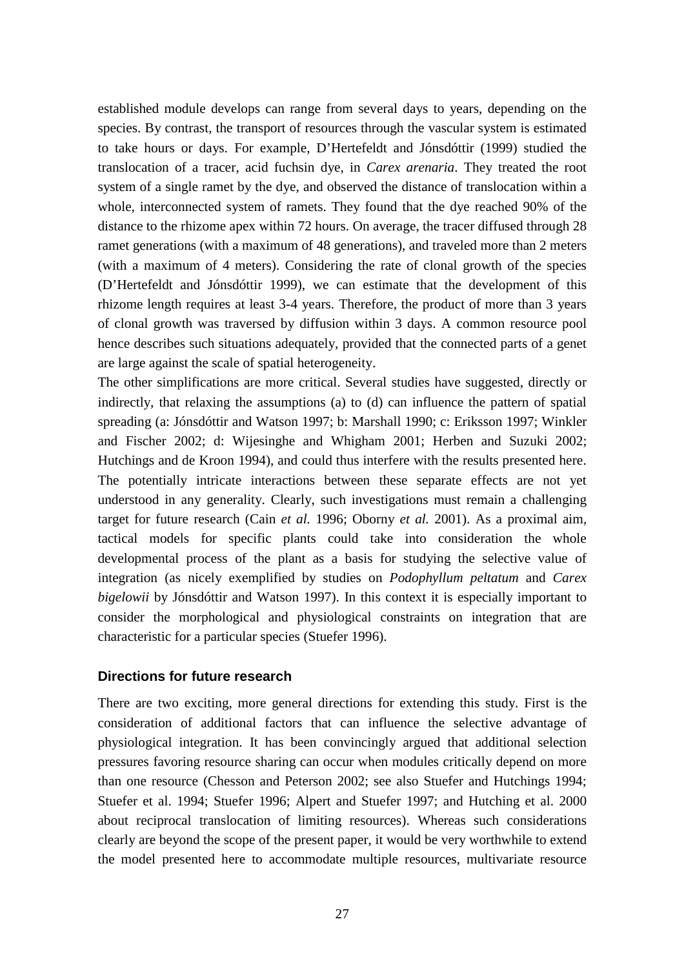established module develops can range from several days to years, depending on the species. By contrast, the transport of resources through the vascular system is estimated to take hours or days. For example, D'Hertefeldt and Jónsdóttir (1999) studied the translocation of a tracer, acid fuchsin dye, in *Carex arenaria*. They treated the root system of a single ramet by the dye, and observed the distance of translocation within a whole, interconnected system of ramets. They found that the dye reached 90% of the distance to the rhizome apex within 72 hours. On average, the tracer diffused through 28 ramet generations (with a maximum of 48 generations), and traveled more than 2 meters (with a maximum of 4 meters). Considering the rate of clonal growth of the species (D'Hertefeldt and Jónsdóttir 1999), we can estimate that the development of this rhizome length requires at least 3-4 years. Therefore, the product of more than 3 years of clonal growth was traversed by diffusion within 3 days. A common resource pool hence describes such situations adequately, provided that the connected parts of a genet are large against the scale of spatial heterogeneity.

The other simplifications are more critical. Several studies have suggested, directly or indirectly, that relaxing the assumptions (a) to (d) can influence the pattern of spatial spreading (a: Jónsdóttir and Watson 1997; b: Marshall 1990; c: Eriksson 1997; Winkler and Fischer 2002; d: Wijesinghe and Whigham 2001; Herben and Suzuki 2002; Hutchings and de Kroon 1994), and could thus interfere with the results presented here. The potentially intricate interactions between these separate effects are not yet understood in any generality. Clearly, such investigations must remain a challenging target for future research (Cain *et al.* 1996; Oborny *et al.* 2001). As a proximal aim, tactical models for specific plants could take into consideration the whole developmental process of the plant as a basis for studying the selective value of integration (as nicely exemplified by studies on *Podophyllum peltatum* and *Carex bigelowii* by Jónsdóttir and Watson 1997). In this context it is especially important to consider the morphological and physiological constraints on integration that are characteristic for a particular species (Stuefer 1996).

#### **Directions for future research**

There are two exciting, more general directions for extending this study. First is the consideration of additional factors that can influence the selective advantage of physiological integration. It has been convincingly argued that additional selection pressures favoring resource sharing can occur when modules critically depend on more than one resource (Chesson and Peterson 2002; see also Stuefer and Hutchings 1994; Stuefer et al. 1994; Stuefer 1996; Alpert and Stuefer 1997; and Hutching et al. 2000 about reciprocal translocation of limiting resources). Whereas such considerations clearly are beyond the scope of the present paper, it would be very worthwhile to extend the model presented here to accommodate multiple resources, multivariate resource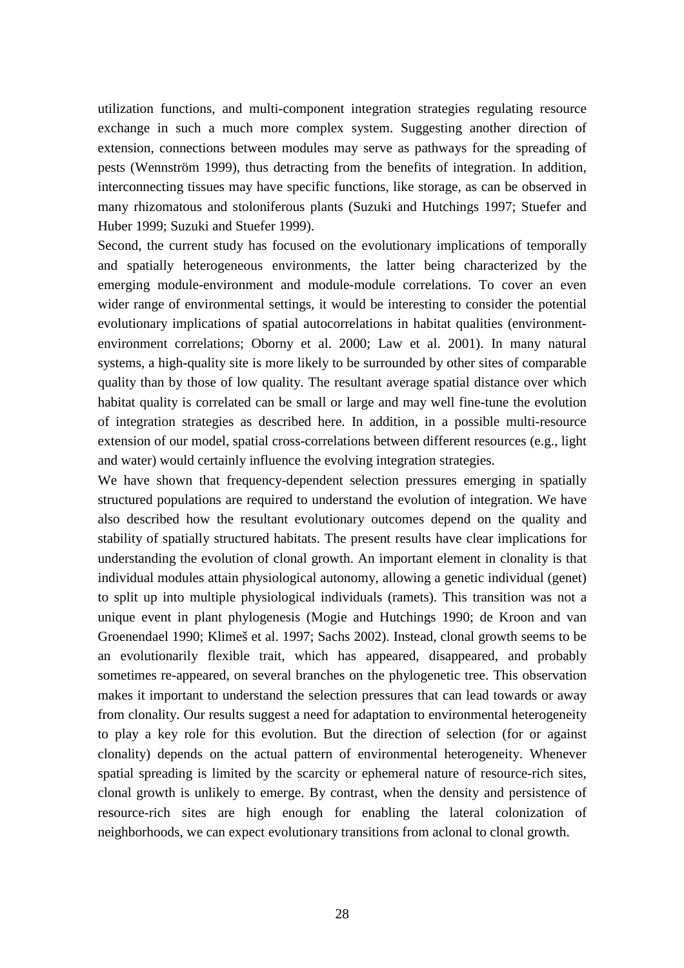utilization functions, and multi-component integration strategies regulating resource exchange in such a much more complex system. Suggesting another direction of extension, connections between modules may serve as pathways for the spreading of pests (Wennström 1999), thus detracting from the benefits of integration. In addition, interconnecting tissues may have specific functions, like storage, as can be observed in many rhizomatous and stoloniferous plants (Suzuki and Hutchings 1997; Stuefer and Huber 1999; Suzuki and Stuefer 1999).

Second, the current study has focused on the evolutionary implications of temporally and spatially heterogeneous environments, the latter being characterized by the emerging module-environment and module-module correlations. To cover an even wider range of environmental settings, it would be interesting to consider the potential evolutionary implications of spatial autocorrelations in habitat qualities (environmentenvironment correlations; Oborny et al. 2000; Law et al. 2001). In many natural systems, a high-quality site is more likely to be surrounded by other sites of comparable quality than by those of low quality. The resultant average spatial distance over which habitat quality is correlated can be small or large and may well fine-tune the evolution of integration strategies as described here. In addition, in a possible multi-resource extension of our model, spatial cross-correlations between different resources (e.g., light and water) would certainly influence the evolving integration strategies.

We have shown that frequency-dependent selection pressures emerging in spatially structured populations are required to understand the evolution of integration. We have also described how the resultant evolutionary outcomes depend on the quality and stability of spatially structured habitats. The present results have clear implications for understanding the evolution of clonal growth. An important element in clonality is that individual modules attain physiological autonomy, allowing a genetic individual (genet) to split up into multiple physiological individuals (ramets). This transition was not a unique event in plant phylogenesis (Mogie and Hutchings 1990; de Kroon and van Groenendael 1990; Klimeš et al. 1997; Sachs 2002). Instead, clonal growth seems to be an evolutionarily flexible trait, which has appeared, disappeared, and probably sometimes re-appeared, on several branches on the phylogenetic tree. This observation makes it important to understand the selection pressures that can lead towards or away from clonality. Our results suggest a need for adaptation to environmental heterogeneity to play a key role for this evolution. But the direction of selection (for or against clonality) depends on the actual pattern of environmental heterogeneity. Whenever spatial spreading is limited by the scarcity or ephemeral nature of resource-rich sites, clonal growth is unlikely to emerge. By contrast, when the density and persistence of resource-rich sites are high enough for enabling the lateral colonization of neighborhoods, we can expect evolutionary transitions from aclonal to clonal growth.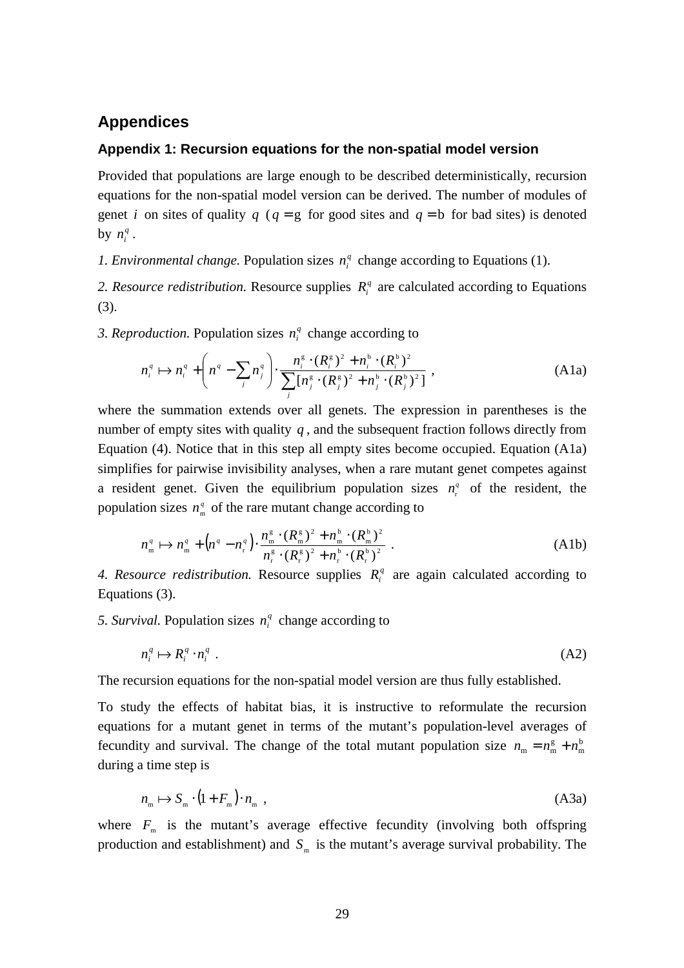### **Appendices**

#### **Appendix 1: Recursion equations for the non-spatial model version**

Provided that populations are large enough to be described deterministically, recursion equations for the non-spatial model version can be derived. The number of modules of genet *i* on sites of quality *q* ( $q = g$  for good sites and  $q = b$  for bad sites) is denoted by  $n_i^q$ .

*1. Environmental change.* Population sizes  $n_i^q$  change according to Equations (1).

*2. Resource redistribution.* Resource supplies  $R_i^q$  are calculated according to Equations (3).

*3. Reproduction.* Population sizes  $n_i^q$  change according to

$$
n_i^q \mapsto n_i^q + \left( n^q - \sum_j n_j^q \right) \cdot \frac{n_i^s \cdot (R_i^s)^2 + n_i^b \cdot (R_i^b)^2}{\sum_j [n_j^s \cdot (R_j^s)^2 + n_j^b \cdot (R_j^b)^2]} ,
$$
 (A1a)

where the summation extends over all genets. The expression in parentheses is the number of empty sites with quality  $q$ , and the subsequent fraction follows directly from Equation (4). Notice that in this step all empty sites become occupied. Equation (A1a) simplifies for pairwise invisibility analyses, when a rare mutant genet competes against a resident genet. Given the equilibrium population sizes  $n_r^q$  of the resident, the population sizes  $n_{m}^{q}$  of the rare mutant change according to

$$
n_{\rm m}^q \mapsto n_{\rm m}^q + \left(n^q - n_{\rm r}^q\right) \cdot \frac{n_{\rm m}^{\rm g} \cdot (R_{\rm m}^{\rm g})^2 + n_{\rm m}^{\rm b} \cdot (R_{\rm m}^{\rm b})^2}{n_{\rm r}^{\rm g} \cdot (R_{\rm r}^{\rm g})^2 + n_{\rm r}^{\rm b} \cdot (R_{\rm r}^{\rm b})^2} \ . \tag{A1b}
$$

4. Resource redistribution. Resource supplies  $R_i^q$  are again calculated according to Equations (3).

5. Survival. Population sizes  $n_i^q$  change according to

$$
n_i^q \mapsto R_i^q \cdot n_i^q \tag{A2}
$$

The recursion equations for the non-spatial model version are thus fully established.

To study the effects of habitat bias, it is instructive to reformulate the recursion equations for a mutant genet in terms of the mutant's population-level averages of fecundity and survival. The change of the total mutant population size  $n_m = n_m^g + n_m^b$ during a time step is

$$
n_{\rm m} \mapsto S_{\rm m} \cdot (1 + F_{\rm m}) \cdot n_{\rm m} \tag{A3a}
$$

where  $F_m$  is the mutant's average effective fecundity (involving both offspring production and establishment) and  $S<sub>m</sub>$  is the mutant's average survival probability. The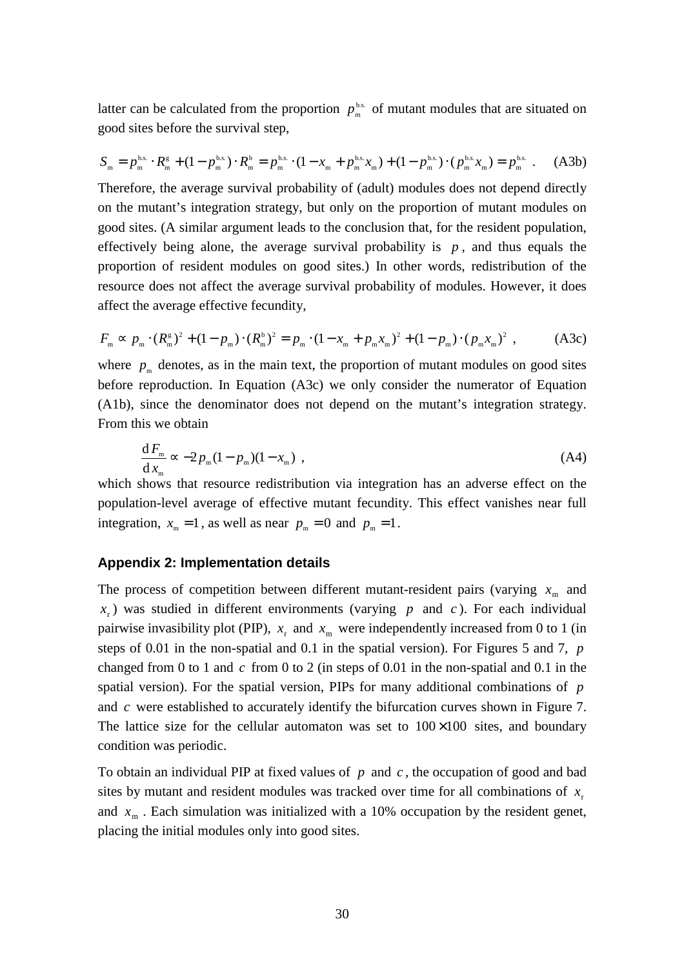latter can be calculated from the proportion  $p_m^{\text{bs}}$  of mutant modules that are situated on good sites before the survival step,

$$
S_{\mathbf{m}} = p_{\mathbf{m}}^{\mathbf{b.s.}} \cdot R_{\mathbf{m}}^{\mathbf{g}} + (1 - p_{\mathbf{m}}^{\mathbf{b.s.}}) \cdot R_{\mathbf{m}}^{\mathbf{b}} = p_{\mathbf{m}}^{\mathbf{b.s.}} \cdot (1 - x_{\mathbf{m}} + p_{\mathbf{m}}^{\mathbf{b.s.}} x_{\mathbf{m}}) + (1 - p_{\mathbf{m}}^{\mathbf{b.s.}}) \cdot (p_{\mathbf{m}}^{\mathbf{b.s.}} x_{\mathbf{m}}) = p_{\mathbf{m}}^{\mathbf{b.s.}} \tag{A3b}
$$

Therefore, the average survival probability of (adult) modules does not depend directly on the mutant's integration strategy, but only on the proportion of mutant modules on good sites. (A similar argument leads to the conclusion that, for the resident population, effectively being alone, the average survival probability is  $p$ , and thus equals the proportion of resident modules on good sites.) In other words, redistribution of the resource does not affect the average survival probability of modules. However, it does affect the average effective fecundity,

$$
F_{\mathbf{m}} \propto p_{\mathbf{m}} \cdot (R_{\mathbf{m}}^{\mathbf{g}})^2 + (1 - p_{\mathbf{m}}) \cdot (R_{\mathbf{m}}^{\mathbf{b}})^2 = p_{\mathbf{m}} \cdot (1 - x_{\mathbf{m}} + p_{\mathbf{m}} x_{\mathbf{m}})^2 + (1 - p_{\mathbf{m}}) \cdot (p_{\mathbf{m}} x_{\mathbf{m}})^2 \tag{A3c}
$$

where  $p_m$  denotes, as in the main text, the proportion of mutant modules on good sites before reproduction. In Equation (A3c) we only consider the numerator of Equation (A1b), since the denominator does not depend on the mutant's integration strategy. From this we obtain

$$
\frac{\mathrm{d}F_{\scriptscriptstyle{\rm m}}}{\mathrm{d}x_{\scriptscriptstyle{\rm m}}} \approx -2p_{\scriptscriptstyle{\rm m}}(1-p_{\scriptscriptstyle{\rm m}})(1-x_{\scriptscriptstyle{\rm m}}) \tag{A4}
$$

which shows that resource redistribution via integration has an adverse effect on the population-level average of effective mutant fecundity. This effect vanishes near full integration,  $x_m = 1$ , as well as near  $p_m = 0$  and  $p_m = 1$ .

#### **Appendix 2: Implementation details**

The process of competition between different mutant-resident pairs (varying  $x<sub>m</sub>$  and  $x<sub>r</sub>$ ) was studied in different environments (varying *p* and *c*). For each individual pairwise invasibility plot (PIP),  $x_r$  and  $x_m$  were independently increased from 0 to 1 (in steps of 0.01 in the non-spatial and 0.1 in the spatial version). For Figures 5 and 7, *p* changed from 0 to 1 and *c* from 0 to 2 (in steps of 0.01 in the non-spatial and 0.1 in the spatial version). For the spatial version, PIPs for many additional combinations of *p* and *c* were established to accurately identify the bifurcation curves shown in Figure 7. The lattice size for the cellular automaton was set to  $100\times100$  sites, and boundary condition was periodic.

To obtain an individual PIP at fixed values of *p* and *c* , the occupation of good and bad sites by mutant and resident modules was tracked over time for all combinations of  $x<sub>r</sub>$ . and  $x<sub>m</sub>$ . Each simulation was initialized with a 10% occupation by the resident genet, placing the initial modules only into good sites.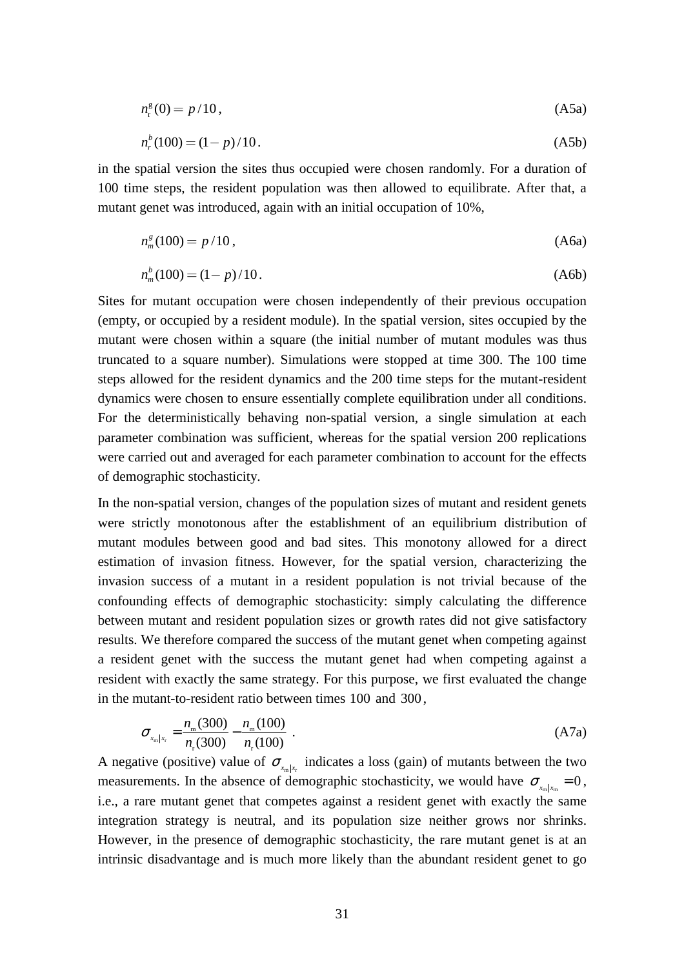$$
n_{\rm r}^{\rm g}(0) = p/10, \tag{A5a}
$$

$$
n_r^b(100) = (1 - p)/10.
$$
 (A5b)

in the spatial version the sites thus occupied were chosen randomly. For a duration of 100 time steps, the resident population was then allowed to equilibrate. After that, a mutant genet was introduced, again with an initial occupation of 10%,

$$
n_m^s(100) = p/10,
$$
 (A6a)

$$
n_m^b(100) = (1 - p)/10.
$$
 (A6b)

Sites for mutant occupation were chosen independently of their previous occupation (empty, or occupied by a resident module). In the spatial version, sites occupied by the mutant were chosen within a square (the initial number of mutant modules was thus truncated to a square number). Simulations were stopped at time 300. The 100 time steps allowed for the resident dynamics and the 200 time steps for the mutant-resident dynamics were chosen to ensure essentially complete equilibration under all conditions. For the deterministically behaving non-spatial version, a single simulation at each parameter combination was sufficient, whereas for the spatial version 200 replications were carried out and averaged for each parameter combination to account for the effects of demographic stochasticity.

In the non-spatial version, changes of the population sizes of mutant and resident genets were strictly monotonous after the establishment of an equilibrium distribution of mutant modules between good and bad sites. This monotony allowed for a direct estimation of invasion fitness. However, for the spatial version, characterizing the invasion success of a mutant in a resident population is not trivial because of the confounding effects of demographic stochasticity: simply calculating the difference between mutant and resident population sizes or growth rates did not give satisfactory results. We therefore compared the success of the mutant genet when competing against a resident genet with the success the mutant genet had when competing against a resident with exactly the same strategy. For this purpose, we first evaluated the change in the mutant-to-resident ratio between times 100 and 300 ,

$$
\sigma_{x_m|x_r} = \frac{n_m(300)}{n_r(300)} - \frac{n_m(100)}{n_r(100)} \ . \tag{A7a}
$$

A negative (positive) value of  $\sigma_{x_m|x_r}$  indicates a loss (gain) of mutants between the two measurements. In the absence of demographic stochasticity, we would have  $\sigma_{x_m|x_m} = 0$ , i.e., a rare mutant genet that competes against a resident genet with exactly the same integration strategy is neutral, and its population size neither grows nor shrinks. However, in the presence of demographic stochasticity, the rare mutant genet is at an intrinsic disadvantage and is much more likely than the abundant resident genet to go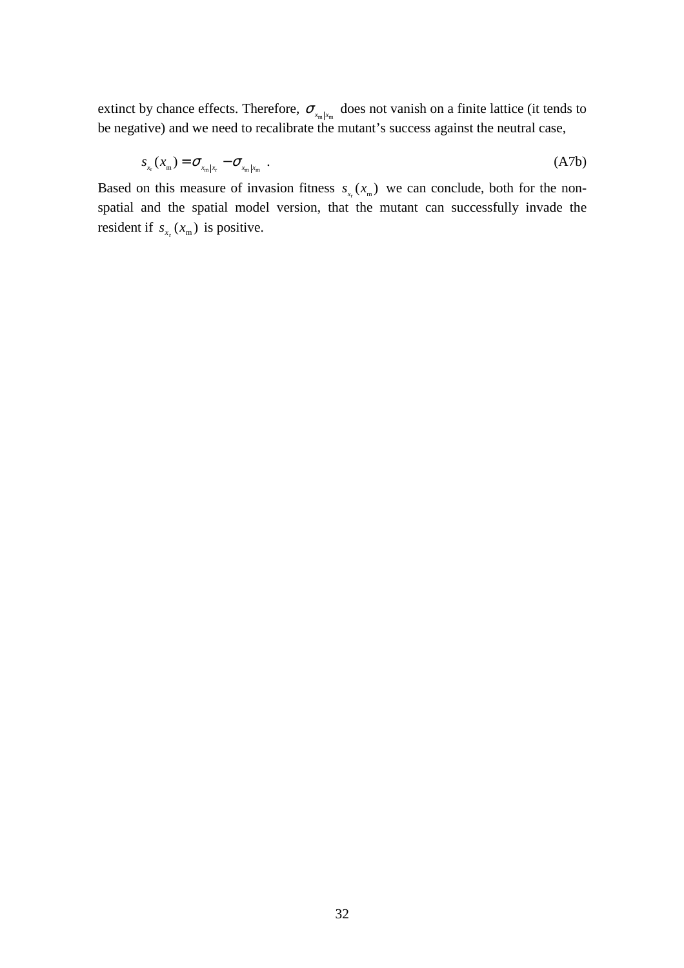extinct by chance effects. Therefore,  $\sigma_{x_m|x_m}$  does not vanish on a finite lattice (it tends to be negative) and we need to recalibrate the mutant's success against the neutral case,

$$
s_{x_{\rm r}}(x_{\rm m}) = \sigma_{x_{\rm m}|x_{\rm r}} - \sigma_{x_{\rm m}|x_{\rm m}} \tag{A7b}
$$

Based on this measure of invasion fitness  $s_{x} (x_m)$  we can conclude, both for the nonspatial and the spatial model version, that the mutant can successfully invade the resident if  $s_{x} (x_m)$  is positive.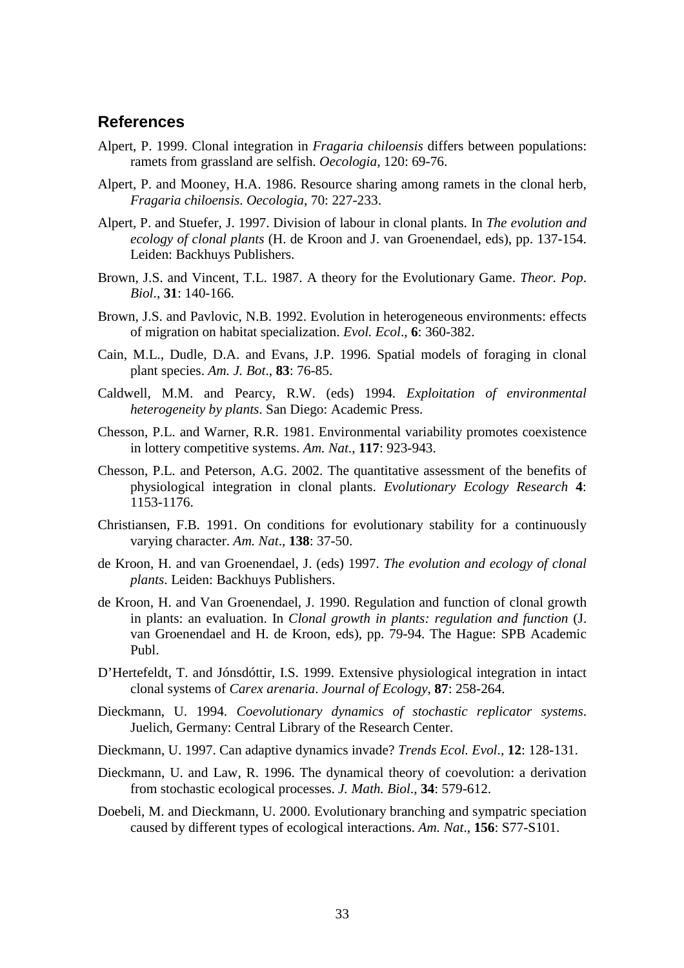## **References**

- Alpert, P. 1999. Clonal integration in *Fragaria chiloensis* differs between populations: ramets from grassland are selfish. *Oecologia*, 120: 69-76.
- Alpert, P. and Mooney, H.A. 1986. Resource sharing among ramets in the clonal herb, *Fragaria chiloensis*. *Oecologia*, 70: 227-233.
- Alpert, P. and Stuefer, J. 1997. Division of labour in clonal plants. In *The evolution and ecology of clonal plants* (H. de Kroon and J. van Groenendael, eds), pp. 137-154. Leiden: Backhuys Publishers.
- Brown, J.S. and Vincent, T.L. 1987. A theory for the Evolutionary Game. *Theor. Pop*. *Biol*., **31**: 140-166.
- Brown, J.S. and Pavlovic, N.B. 1992. Evolution in heterogeneous environments: effects of migration on habitat specialization. *Evol. Ecol*., **6**: 360-382.
- Cain, M.L., Dudle, D.A. and Evans, J.P. 1996. Spatial models of foraging in clonal plant species. *Am. J. Bot*., **83**: 76-85.
- Caldwell, M.M. and Pearcy, R.W. (eds) 1994. *Exploitation of environmental heterogeneity by plants*. San Diego: Academic Press.
- Chesson, P.L. and Warner, R.R. 1981. Environmental variability promotes coexistence in lottery competitive systems. *Am. Nat*., **117**: 923-943.
- Chesson, P.L. and Peterson, A.G. 2002. The quantitative assessment of the benefits of physiological integration in clonal plants. *Evolutionary Ecology Research* **4**: 1153-1176.
- Christiansen, F.B. 1991. On conditions for evolutionary stability for a continuously varying character. *Am. Nat*., **138**: 37-50.
- de Kroon, H. and van Groenendael, J. (eds) 1997. *The evolution and ecology of clonal plants*. Leiden: Backhuys Publishers.
- de Kroon, H. and Van Groenendael, J. 1990. Regulation and function of clonal growth in plants: an evaluation. In *Clonal growth in plants: regulation and function* (J. van Groenendael and H. de Kroon, eds), pp. 79-94. The Hague: SPB Academic Publ.
- D'Hertefeldt, T. and Jónsdóttir, I.S. 1999. Extensive physiological integration in intact clonal systems of *Carex arenaria*. *Journal of Ecology*, **87**: 258-264.
- Dieckmann, U. 1994. *Coevolutionary dynamics of stochastic replicator systems*. Juelich, Germany: Central Library of the Research Center.
- Dieckmann, U. 1997. Can adaptive dynamics invade? *Trends Ecol. Evol*., **12**: 128-131.
- Dieckmann, U. and Law, R. 1996. The dynamical theory of coevolution: a derivation from stochastic ecological processes. *J. Math. Biol*., **34**: 579-612.
- Doebeli, M. and Dieckmann, U. 2000. Evolutionary branching and sympatric speciation caused by different types of ecological interactions. *Am. Nat*., **156**: S77-S101.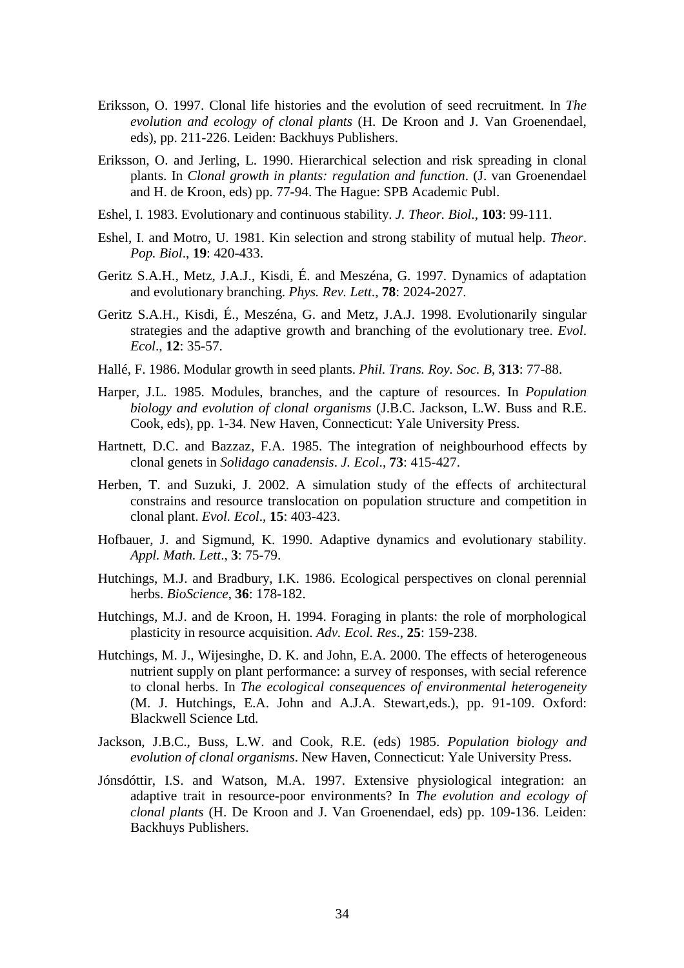- Eriksson, O. 1997. Clonal life histories and the evolution of seed recruitment. In *The evolution and ecology of clonal plants* (H. De Kroon and J. Van Groenendael, eds), pp. 211-226. Leiden: Backhuys Publishers.
- Eriksson, O. and Jerling, L. 1990. Hierarchical selection and risk spreading in clonal plants. In *Clonal growth in plants: regulation and function*. (J. van Groenendael and H. de Kroon, eds) pp. 77-94. The Hague: SPB Academic Publ.
- Eshel, I. 1983. Evolutionary and continuous stability. *J. Theor. Biol*., **103**: 99-111.
- Eshel, I. and Motro, U. 1981. Kin selection and strong stability of mutual help. *Theor*. *Pop. Biol*., **19**: 420-433.
- Geritz S.A.H., Metz, J.A.J., Kisdi, É. and Meszéna, G. 1997. Dynamics of adaptation and evolutionary branching. *Phys. Rev. Lett*., **78**: 2024-2027.
- Geritz S.A.H., Kisdi, É., Meszéna, G. and Metz, J.A.J. 1998. Evolutionarily singular strategies and the adaptive growth and branching of the evolutionary tree. *Evol*. *Ecol*., **12**: 35-57.
- Hallé, F. 1986. Modular growth in seed plants. *Phil. Trans. Roy. Soc. B*, **313**: 77-88.
- Harper, J.L. 1985. Modules, branches, and the capture of resources. In *Population biology and evolution of clonal organisms* (J.B.C. Jackson, L.W. Buss and R.E. Cook, eds), pp. 1-34. New Haven, Connecticut: Yale University Press.
- Hartnett, D.C. and Bazzaz, F.A. 1985. The integration of neighbourhood effects by clonal genets in *Solidago canadensis*. *J. Ecol*., **73**: 415-427.
- Herben, T. and Suzuki, J. 2002. A simulation study of the effects of architectural constrains and resource translocation on population structure and competition in clonal plant. *Evol. Ecol*., **15**: 403-423.
- Hofbauer, J. and Sigmund, K. 1990. Adaptive dynamics and evolutionary stability. *Appl. Math. Lett*., **3**: 75-79.
- Hutchings, M.J. and Bradbury, I.K. 1986. Ecological perspectives on clonal perennial herbs. *BioScience*, **36**: 178-182.
- Hutchings, M.J. and de Kroon, H. 1994. Foraging in plants: the role of morphological plasticity in resource acquisition. *Adv. Ecol. Res*., **25**: 159-238.
- Hutchings, M. J., Wijesinghe, D. K. and John, E.A. 2000. The effects of heterogeneous nutrient supply on plant performance: a survey of responses, with secial reference to clonal herbs. In *The ecological consequences of environmental heterogeneity* (M. J. Hutchings, E.A. John and A.J.A. Stewart,eds.), pp. 91-109. Oxford: Blackwell Science Ltd.
- Jackson, J.B.C., Buss, L.W. and Cook, R.E. (eds) 1985. *Population biology and evolution of clonal organisms*. New Haven, Connecticut: Yale University Press.
- Jónsdóttir, I.S. and Watson, M.A. 1997. Extensive physiological integration: an adaptive trait in resource-poor environments? In *The evolution and ecology of clonal plants* (H. De Kroon and J. Van Groenendael, eds) pp. 109-136. Leiden: Backhuys Publishers.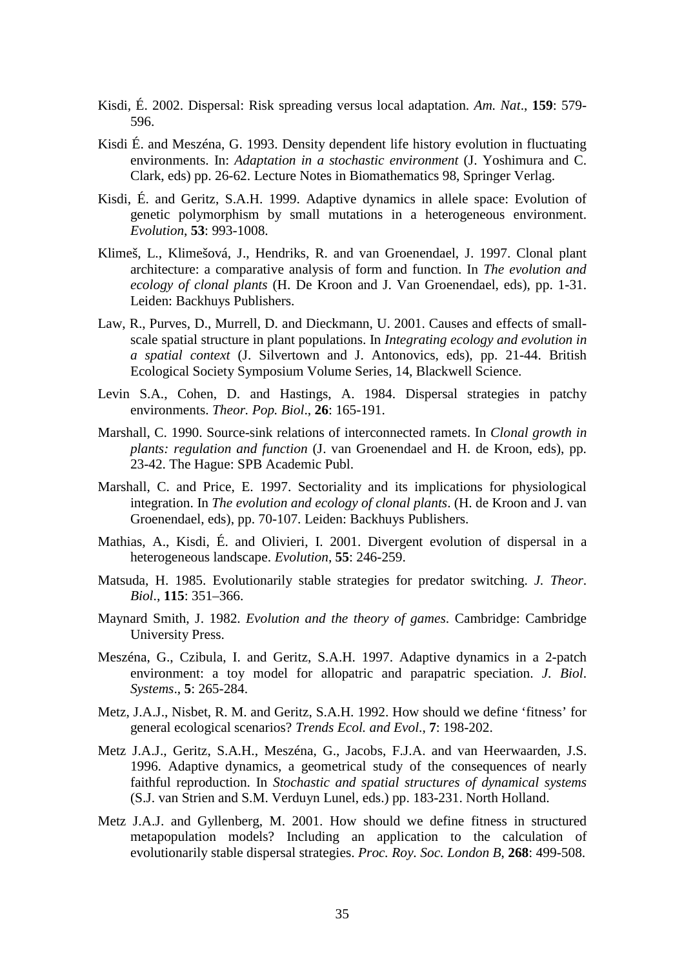- Kisdi, É. 2002. Dispersal: Risk spreading versus local adaptation. *Am. Nat*., **159**: 579- 596.
- Kisdi É. and Meszéna, G. 1993. Density dependent life history evolution in fluctuating environments. In: *Adaptation in a stochastic environment* (J. Yoshimura and C. Clark, eds) pp. 26-62. Lecture Notes in Biomathematics 98, Springer Verlag.
- Kisdi, É. and Geritz, S.A.H. 1999. Adaptive dynamics in allele space: Evolution of genetic polymorphism by small mutations in a heterogeneous environment. *Evolution*, **53**: 993-1008.
- Klimeš, L., Klimešová, J., Hendriks, R. and van Groenendael, J. 1997. Clonal plant architecture: a comparative analysis of form and function. In *The evolution and ecology of clonal plants* (H. De Kroon and J. Van Groenendael, eds), pp. 1-31. Leiden: Backhuys Publishers.
- Law, R., Purves, D., Murrell, D. and Dieckmann, U. 2001. Causes and effects of smallscale spatial structure in plant populations. In *Integrating ecology and evolution in a spatial context* (J. Silvertown and J. Antonovics, eds), pp. 21-44. British Ecological Society Symposium Volume Series, 14, Blackwell Science.
- Levin S.A., Cohen, D. and Hastings, A. 1984. Dispersal strategies in patchy environments. *Theor. Pop. Biol*., **26**: 165-191.
- Marshall, C. 1990. Source-sink relations of interconnected ramets. In *Clonal growth in plants: regulation and function* (J. van Groenendael and H. de Kroon, eds), pp. 23-42. The Hague: SPB Academic Publ.
- Marshall, C. and Price, E. 1997. Sectoriality and its implications for physiological integration. In *The evolution and ecology of clonal plants*. (H. de Kroon and J. van Groenendael, eds), pp. 70-107. Leiden: Backhuys Publishers.
- Mathias, A., Kisdi, É. and Olivieri, I. 2001. Divergent evolution of dispersal in a heterogeneous landscape. *Evolution*, **55**: 246-259.
- Matsuda, H. 1985. Evolutionarily stable strategies for predator switching. *J. Theor*. *Biol*., **115**: 351–366.
- Maynard Smith, J. 1982. *Evolution and the theory of games*. Cambridge: Cambridge University Press.
- Meszéna, G., Czibula, I. and Geritz, S.A.H. 1997. Adaptive dynamics in a 2-patch environment: a toy model for allopatric and parapatric speciation. *J. Biol*. *Systems*., **5**: 265-284.
- Metz, J.A.J., Nisbet, R. M. and Geritz, S.A.H. 1992. How should we define 'fitness' for general ecological scenarios? *Trends Ecol. and Evol*., **7**: 198-202.
- Metz J.A.J., Geritz, S.A.H., Meszéna, G., Jacobs, F.J.A. and van Heerwaarden, J.S. 1996. Adaptive dynamics, a geometrical study of the consequences of nearly faithful reproduction. In *Stochastic and spatial structures of dynamical systems* (S.J. van Strien and S.M. Verduyn Lunel, eds.) pp. 183-231. North Holland.
- Metz J.A.J. and Gyllenberg, M. 2001. How should we define fitness in structured metapopulation models? Including an application to the calculation of evolutionarily stable dispersal strategies. *Proc. Roy. Soc. London B*, **268**: 499-508.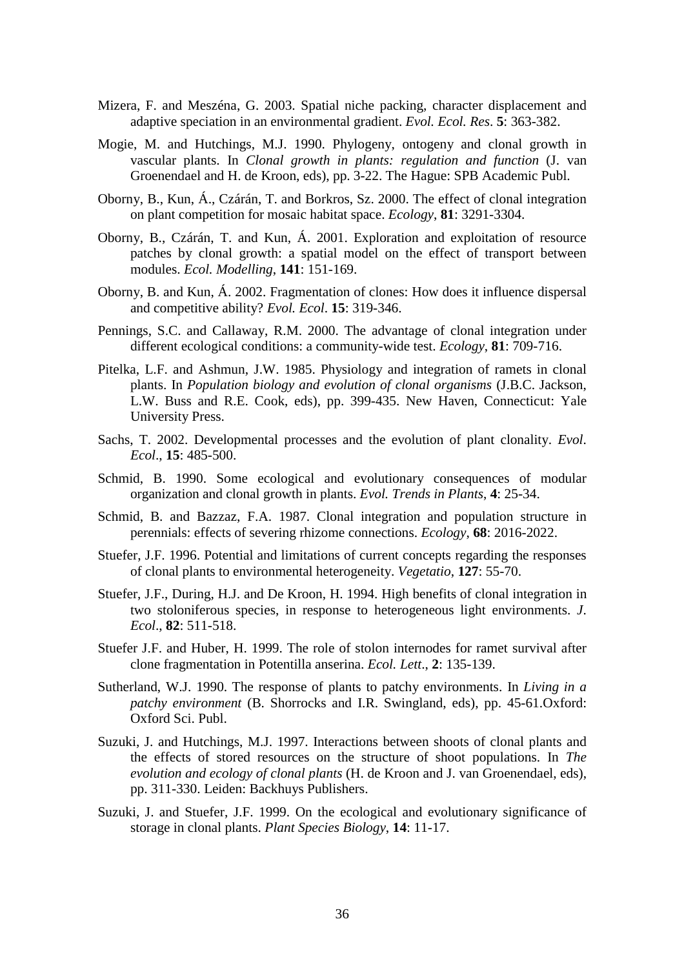- Mizera, F. and Meszéna, G. 2003. Spatial niche packing, character displacement and adaptive speciation in an environmental gradient. *Evol. Ecol. Res*. **5**: 363-382.
- Mogie, M. and Hutchings, M.J. 1990. Phylogeny, ontogeny and clonal growth in vascular plants. In *Clonal growth in plants: regulation and function* (J. van Groenendael and H. de Kroon, eds), pp. 3-22. The Hague: SPB Academic Publ.
- Oborny, B., Kun, Á., Czárán, T. and Borkros, Sz. 2000. The effect of clonal integration on plant competition for mosaic habitat space. *Ecology*, **81**: 3291-3304.
- Oborny, B., Czárán, T. and Kun, Á. 2001. Exploration and exploitation of resource patches by clonal growth: a spatial model on the effect of transport between modules. *Ecol. Modelling*, **141**: 151-169.
- Oborny, B. and Kun, Á. 2002. Fragmentation of clones: How does it influence dispersal and competitive ability? *Evol. Ecol*. **15**: 319-346.
- Pennings, S.C. and Callaway, R.M. 2000. The advantage of clonal integration under different ecological conditions: a community-wide test. *Ecology*, **81**: 709-716.
- Pitelka, L.F. and Ashmun, J.W. 1985. Physiology and integration of ramets in clonal plants. In *Population biology and evolution of clonal organisms* (J.B.C. Jackson, L.W. Buss and R.E. Cook, eds), pp. 399-435. New Haven, Connecticut: Yale University Press.
- Sachs, T. 2002. Developmental processes and the evolution of plant clonality. *Evol*. *Ecol*., **15**: 485-500.
- Schmid, B. 1990. Some ecological and evolutionary consequences of modular organization and clonal growth in plants. *Evol. Trends in Plants*, **4**: 25-34.
- Schmid, B. and Bazzaz, F.A. 1987. Clonal integration and population structure in perennials: effects of severing rhizome connections. *Ecology*, **68**: 2016-2022.
- Stuefer, J.F. 1996. Potential and limitations of current concepts regarding the responses of clonal plants to environmental heterogeneity. *Vegetatio*, **127**: 55-70.
- Stuefer, J.F., During, H.J. and De Kroon, H. 1994. High benefits of clonal integration in two stoloniferous species, in response to heterogeneous light environments. *J*. *Ecol*., **82**: 511-518.
- Stuefer J.F. and Huber, H. 1999. The role of stolon internodes for ramet survival after clone fragmentation in Potentilla anserina. *Ecol. Lett*., **2**: 135-139.
- Sutherland, W.J. 1990. The response of plants to patchy environments. In *Living in a patchy environment* (B. Shorrocks and I.R. Swingland, eds), pp. 45-61.Oxford: Oxford Sci. Publ.
- Suzuki, J. and Hutchings, M.J. 1997. Interactions between shoots of clonal plants and the effects of stored resources on the structure of shoot populations. In *The evolution and ecology of clonal plants* (H. de Kroon and J. van Groenendael, eds), pp. 311-330. Leiden: Backhuys Publishers.
- Suzuki, J. and Stuefer, J.F. 1999. On the ecological and evolutionary significance of storage in clonal plants. *Plant Species Biology*, **14**: 11-17.